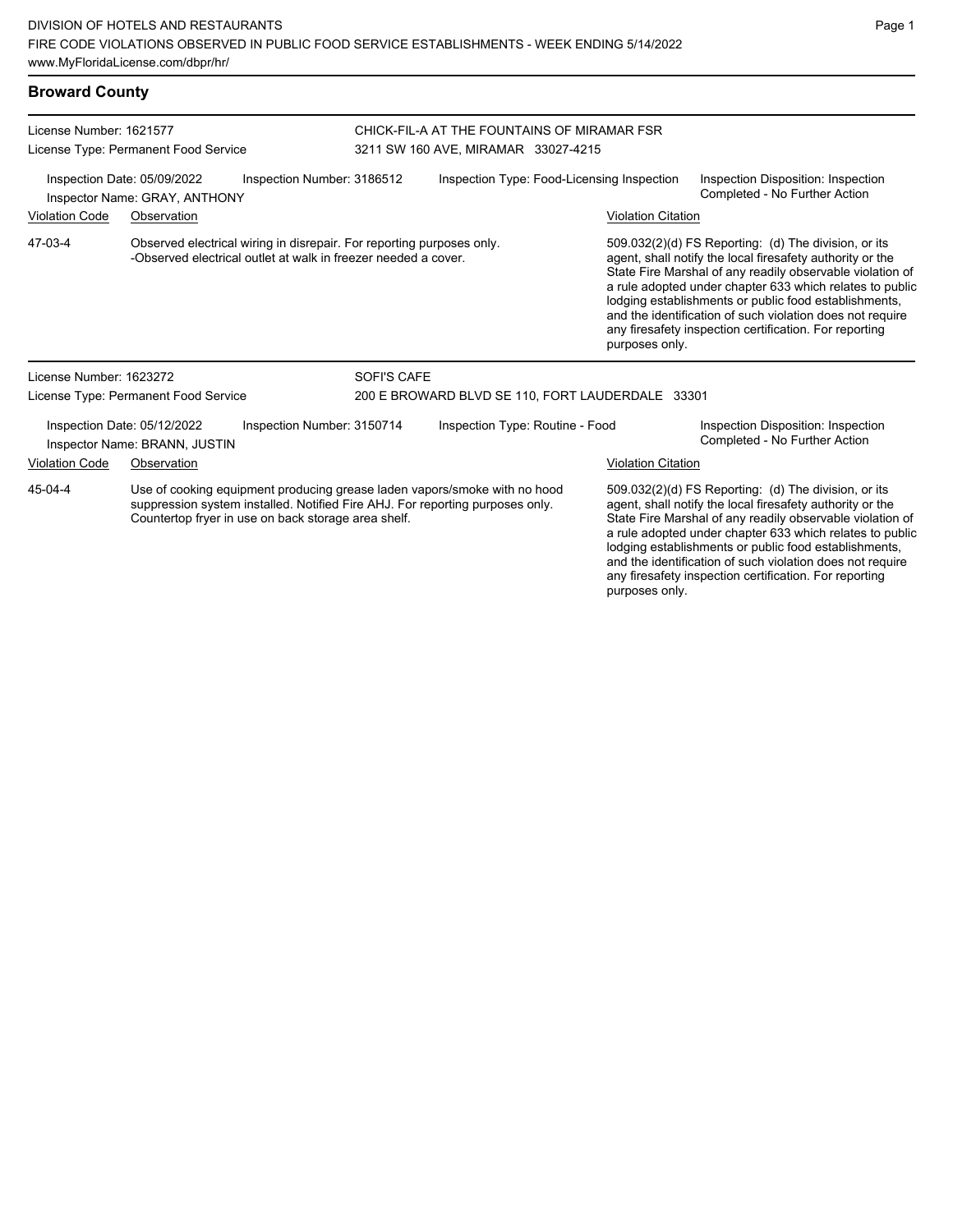| <b>Broward County</b>                                                                      |                                                              |                                                                                                                                         |                                                  |                                                                                                                                                            |  |                           |                                                                                                                                                                                                                                                                                                                                                                                                                            |  |
|--------------------------------------------------------------------------------------------|--------------------------------------------------------------|-----------------------------------------------------------------------------------------------------------------------------------------|--------------------------------------------------|------------------------------------------------------------------------------------------------------------------------------------------------------------|--|---------------------------|----------------------------------------------------------------------------------------------------------------------------------------------------------------------------------------------------------------------------------------------------------------------------------------------------------------------------------------------------------------------------------------------------------------------------|--|
| License Number: 1621577                                                                    | License Type: Permanent Food Service                         |                                                                                                                                         |                                                  | CHICK-FIL-A AT THE FOUNTAINS OF MIRAMAR FSR<br>3211 SW 160 AVE, MIRAMAR 33027-4215                                                                         |  |                           |                                                                                                                                                                                                                                                                                                                                                                                                                            |  |
| Inspection Date: 05/09/2022<br>Inspection Number: 3186512<br>Inspector Name: GRAY, ANTHONY |                                                              |                                                                                                                                         |                                                  | Inspection Type: Food-Licensing Inspection                                                                                                                 |  |                           | Inspection Disposition: Inspection<br>Completed - No Further Action                                                                                                                                                                                                                                                                                                                                                        |  |
| Violation Code                                                                             | Observation                                                  |                                                                                                                                         |                                                  |                                                                                                                                                            |  | <b>Violation Citation</b> |                                                                                                                                                                                                                                                                                                                                                                                                                            |  |
| 47-03-4                                                                                    |                                                              | Observed electrical wiring in disrepair. For reporting purposes only.<br>-Observed electrical outlet at walk in freezer needed a cover. |                                                  |                                                                                                                                                            |  | purposes only.            | 509.032(2)(d) FS Reporting: (d) The division, or its<br>agent, shall notify the local firesafety authority or the<br>State Fire Marshal of any readily observable violation of<br>a rule adopted under chapter 633 which relates to public<br>lodging establishments or public food establishments,<br>and the identification of such violation does not require<br>any firesafety inspection certification. For reporting |  |
| License Number: 1623272                                                                    |                                                              |                                                                                                                                         | SOFI'S CAFE                                      |                                                                                                                                                            |  |                           |                                                                                                                                                                                                                                                                                                                                                                                                                            |  |
|                                                                                            | License Type: Permanent Food Service                         |                                                                                                                                         | 200 E BROWARD BLVD SE 110, FORT LAUDERDALE 33301 |                                                                                                                                                            |  |                           |                                                                                                                                                                                                                                                                                                                                                                                                                            |  |
|                                                                                            | Inspection Date: 05/12/2022<br>Inspector Name: BRANN, JUSTIN | Inspection Number: 3150714                                                                                                              |                                                  | Inspection Type: Routine - Food                                                                                                                            |  |                           | Inspection Disposition: Inspection<br>Completed - No Further Action                                                                                                                                                                                                                                                                                                                                                        |  |
| <b>Violation Code</b>                                                                      | Observation                                                  |                                                                                                                                         |                                                  |                                                                                                                                                            |  | <b>Violation Citation</b> |                                                                                                                                                                                                                                                                                                                                                                                                                            |  |
| 45-04-4                                                                                    |                                                              | Countertop fryer in use on back storage area shelf.                                                                                     |                                                  | Use of cooking equipment producing grease laden vapors/smoke with no hood<br>suppression system installed. Notified Fire AHJ. For reporting purposes only. |  |                           | 509.032(2)(d) FS Reporting: (d) The division, or its<br>agent, shall notify the local firesafety authority or the<br>State Fire Marshal of any readily observable violation of                                                                                                                                                                                                                                             |  |

State Fire Marshal of any readily observable violation of a rule adopted under chapter 633 which relates to public lodging establishments or public food establishments,

and the identification of such violation does not require any firesafety inspection certification. For reporting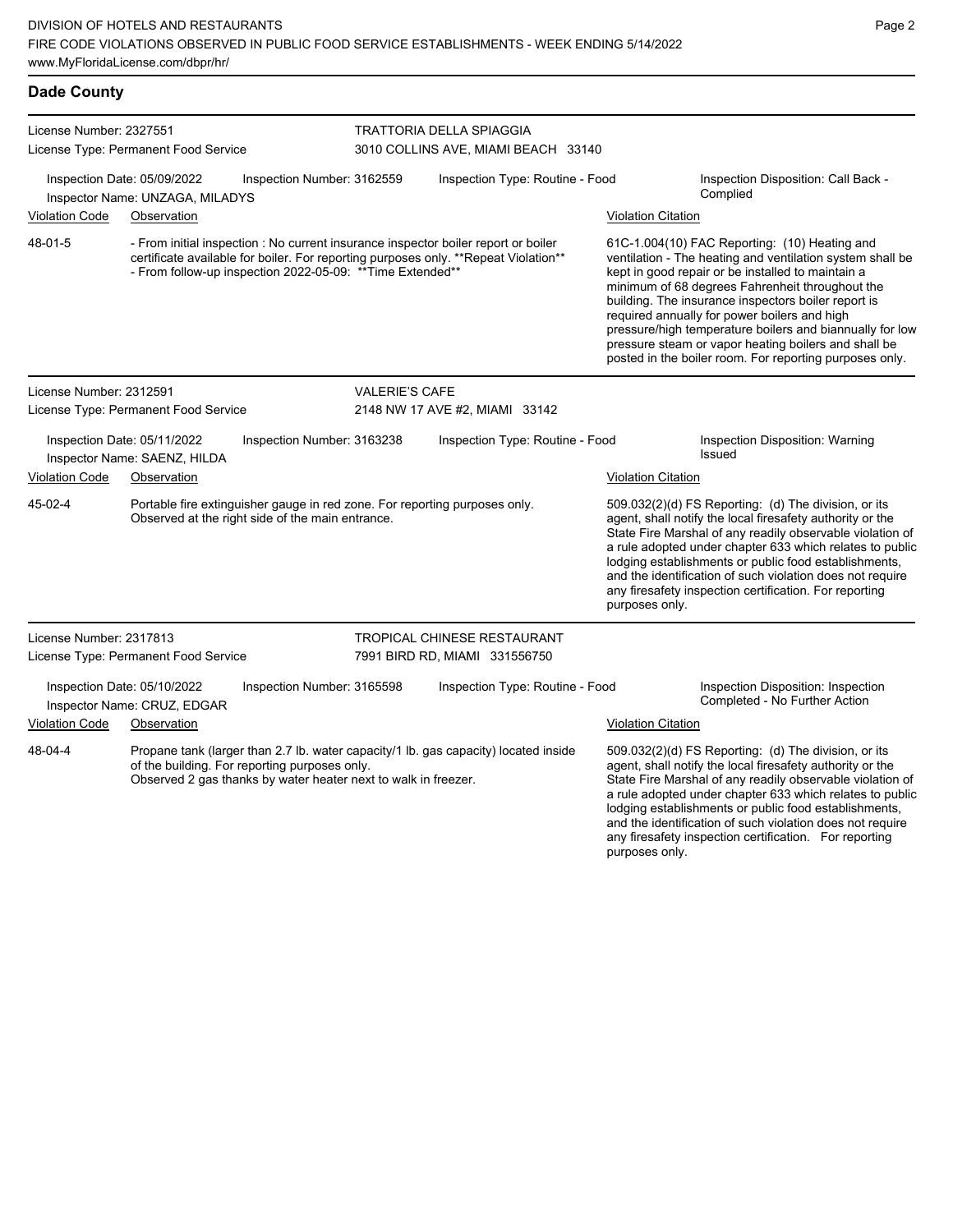| <b>Dade County</b>                   |                                                                |                                                                                                                                |                                                                                                                                                                                                                                                                                                                                                                                                                                                                                                                                                                                                                                                                                                                                                     |                                                                                     |                           |                                                                                                                                                                                                                                                                                                                                                                                                                             |
|--------------------------------------|----------------------------------------------------------------|--------------------------------------------------------------------------------------------------------------------------------|-----------------------------------------------------------------------------------------------------------------------------------------------------------------------------------------------------------------------------------------------------------------------------------------------------------------------------------------------------------------------------------------------------------------------------------------------------------------------------------------------------------------------------------------------------------------------------------------------------------------------------------------------------------------------------------------------------------------------------------------------------|-------------------------------------------------------------------------------------|---------------------------|-----------------------------------------------------------------------------------------------------------------------------------------------------------------------------------------------------------------------------------------------------------------------------------------------------------------------------------------------------------------------------------------------------------------------------|
| License Number: 2327551              | License Type: Permanent Food Service                           |                                                                                                                                |                                                                                                                                                                                                                                                                                                                                                                                                                                                                                                                                                                                                                                                                                                                                                     | TRATTORIA DELLA SPIAGGIA<br>3010 COLLINS AVE, MIAMI BEACH 33140                     |                           |                                                                                                                                                                                                                                                                                                                                                                                                                             |
|                                      | Inspection Date: 05/09/2022<br>Inspector Name: UNZAGA, MILADYS | Inspection Number: 3162559                                                                                                     |                                                                                                                                                                                                                                                                                                                                                                                                                                                                                                                                                                                                                                                                                                                                                     | Inspection Type: Routine - Food                                                     |                           | Inspection Disposition: Call Back -<br>Complied                                                                                                                                                                                                                                                                                                                                                                             |
| <b>Violation Code</b>                | Observation                                                    |                                                                                                                                |                                                                                                                                                                                                                                                                                                                                                                                                                                                                                                                                                                                                                                                                                                                                                     |                                                                                     | <b>Violation Citation</b> |                                                                                                                                                                                                                                                                                                                                                                                                                             |
| 48-01-5                              |                                                                |                                                                                                                                | - From initial inspection : No current insurance inspector boiler report or boiler<br>61C-1.004(10) FAC Reporting: (10) Heating and<br>certificate available for boiler. For reporting purposes only. **Repeat Violation**<br>ventilation - The heating and ventilation system shall be<br>- From follow-up inspection 2022-05-09: ** Time Extended**<br>kept in good repair or be installed to maintain a<br>minimum of 68 degrees Fahrenheit throughout the<br>building. The insurance inspectors boiler report is<br>required annually for power boilers and high<br>pressure/high temperature boilers and biannually for low<br>pressure steam or vapor heating boilers and shall be<br>posted in the boiler room. For reporting purposes only. |                                                                                     |                           |                                                                                                                                                                                                                                                                                                                                                                                                                             |
| License Number: 2312591              |                                                                |                                                                                                                                | <b>VALERIE'S CAFE</b>                                                                                                                                                                                                                                                                                                                                                                                                                                                                                                                                                                                                                                                                                                                               |                                                                                     |                           |                                                                                                                                                                                                                                                                                                                                                                                                                             |
| License Type: Permanent Food Service |                                                                |                                                                                                                                | 2148 NW 17 AVE #2, MIAMI 33142                                                                                                                                                                                                                                                                                                                                                                                                                                                                                                                                                                                                                                                                                                                      |                                                                                     |                           |                                                                                                                                                                                                                                                                                                                                                                                                                             |
|                                      | Inspection Date: 05/11/2022<br>Inspector Name: SAENZ, HILDA    | Inspection Number: 3163238                                                                                                     |                                                                                                                                                                                                                                                                                                                                                                                                                                                                                                                                                                                                                                                                                                                                                     | Inspection Type: Routine - Food                                                     |                           | Inspection Disposition: Warning<br>Issued                                                                                                                                                                                                                                                                                                                                                                                   |
| <b>Violation Code</b>                | Observation                                                    |                                                                                                                                |                                                                                                                                                                                                                                                                                                                                                                                                                                                                                                                                                                                                                                                                                                                                                     |                                                                                     | <b>Violation Citation</b> |                                                                                                                                                                                                                                                                                                                                                                                                                             |
| 45-02-4                              |                                                                | Portable fire extinguisher gauge in red zone. For reporting purposes only.<br>Observed at the right side of the main entrance. |                                                                                                                                                                                                                                                                                                                                                                                                                                                                                                                                                                                                                                                                                                                                                     |                                                                                     | purposes only.            | 509.032(2)(d) FS Reporting: (d) The division, or its<br>agent, shall notify the local firesafety authority or the<br>State Fire Marshal of any readily observable violation of<br>a rule adopted under chapter 633 which relates to public<br>lodging establishments or public food establishments,<br>and the identification of such violation does not require<br>any firesafety inspection certification. For reporting  |
| License Number: 2317813              |                                                                |                                                                                                                                |                                                                                                                                                                                                                                                                                                                                                                                                                                                                                                                                                                                                                                                                                                                                                     | TROPICAL CHINESE RESTAURANT                                                         |                           |                                                                                                                                                                                                                                                                                                                                                                                                                             |
|                                      | License Type: Permanent Food Service                           |                                                                                                                                |                                                                                                                                                                                                                                                                                                                                                                                                                                                                                                                                                                                                                                                                                                                                                     | 7991 BIRD RD, MIAMI 331556750                                                       |                           |                                                                                                                                                                                                                                                                                                                                                                                                                             |
|                                      | Inspection Date: 05/10/2022<br>Inspector Name: CRUZ, EDGAR     | Inspection Number: 3165598                                                                                                     |                                                                                                                                                                                                                                                                                                                                                                                                                                                                                                                                                                                                                                                                                                                                                     | Inspection Type: Routine - Food                                                     |                           | Inspection Disposition: Inspection<br>Completed - No Further Action                                                                                                                                                                                                                                                                                                                                                         |
| <b>Violation Code</b>                | Observation                                                    |                                                                                                                                |                                                                                                                                                                                                                                                                                                                                                                                                                                                                                                                                                                                                                                                                                                                                                     |                                                                                     | <b>Violation Citation</b> |                                                                                                                                                                                                                                                                                                                                                                                                                             |
| 48-04-4                              |                                                                | of the building. For reporting purposes only.<br>Observed 2 gas thanks by water heater next to walk in freezer.                |                                                                                                                                                                                                                                                                                                                                                                                                                                                                                                                                                                                                                                                                                                                                                     | Propane tank (larger than 2.7 lb. water capacity/1 lb. gas capacity) located inside |                           | 509.032(2)(d) FS Reporting: (d) The division, or its<br>agent, shall notify the local firesafety authority or the<br>State Fire Marshal of any readily observable violation of<br>a rule adopted under chapter 633 which relates to public<br>lodging establishments or public food establishments,<br>and the identification of such violation does not require<br>any firesafety inspection certification.  For reporting |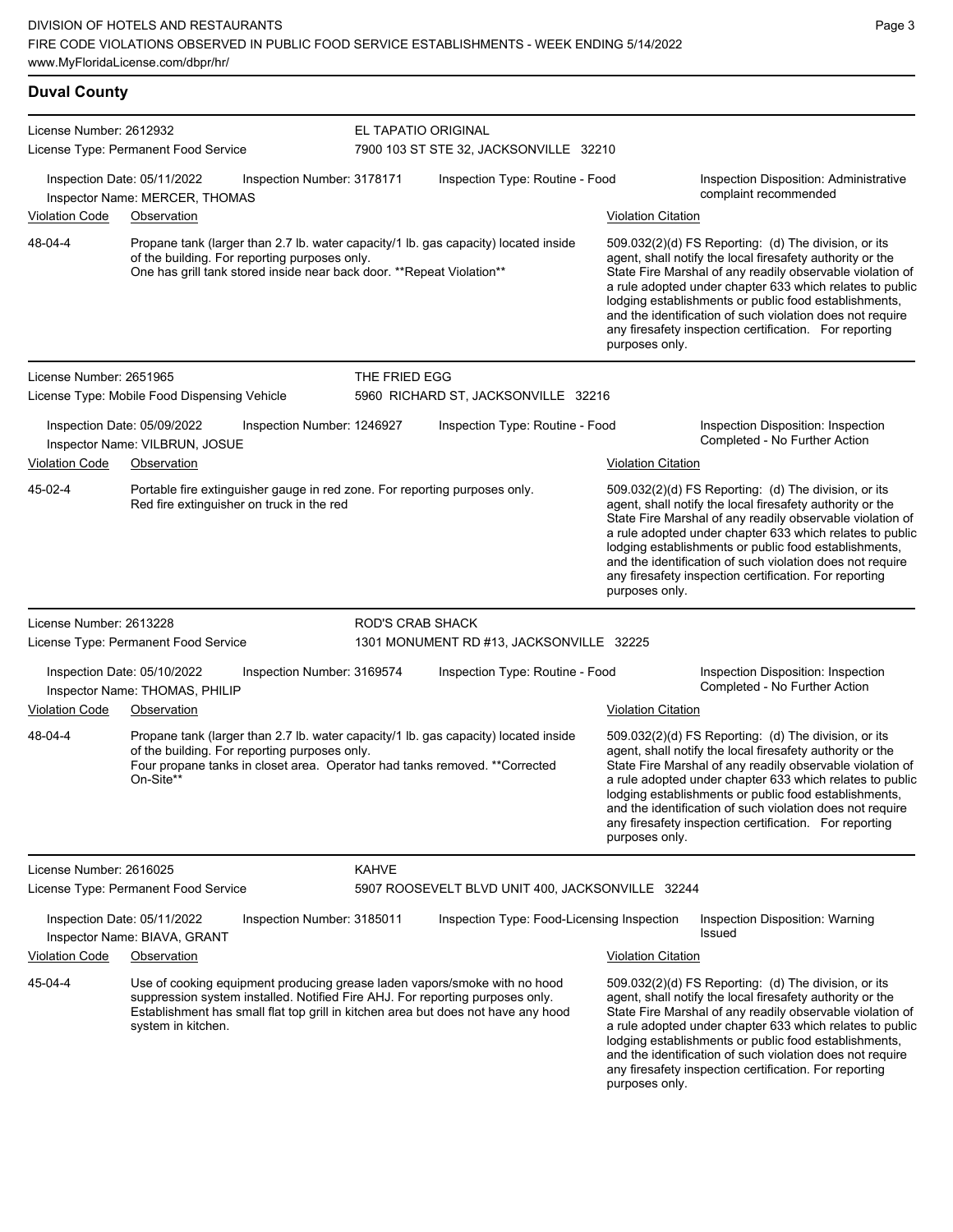#### **Duval County** License Number: 2612932 License Type: Permanent Food Service EL TAPATIO ORIGINAL 7900 103 ST STE 32, JACKSONVILLE 32210 Inspection Date: 05/11/2022 Inspection Number: 3178171 Inspection Type: Routine - Food Inspection Disposition: Administrative complaint recommended Inspector Name: MERCER, THOMAS Violation Code Observation Violation Citation Propane tank (larger than 2.7 lb. water capacity/1 lb. gas capacity) located inside of the building. For reporting purposes only. One has grill tank stored inside near back door. \*\*Repeat Violation\*\* 509.032(2)(d) FS Reporting: (d) The division, or its agent, shall notify the local firesafety authority or the State Fire Marshal of any readily observable violation of a rule adopted under chapter 633 which relates to public lodging establishments or public food establishments, and the identification of such violation does not require any firesafety inspection certification. For reporting purposes only. 48-04-4 License Number: 2651965 License Type: Mobile Food Dispensing Vehicle THE FRIED EGG 5960 RICHARD ST, JACKSONVILLE 32216 Inspection Date: 05/09/2022 Inspection Number: 1246927 Inspection Type: Routine - Food Inspection Disposition: Inspection Inspector Name: VILBRUN, JOSUE **Action** Inspector Name: VILBRUN, JOSUE Violation Code Observation **Violation Citation** Violation Citation Citation Portable fire extinguisher gauge in red zone. For reporting purposes only. Red fire extinguisher on truck in the red 509.032(2)(d) FS Reporting: (d) The division, or its agent, shall notify the local firesafety authority or the State Fire Marshal of any readily observable violation of a rule adopted under chapter 633 which relates to public lodging establishments or public food establishments, and the identification of such violation does not require any firesafety inspection certification. For reporting purposes only. 45-02-4 License Number: 2613228 License Type: Permanent Food Service ROD'S CRAB SHACK 1301 MONUMENT RD #13, JACKSONVILLE 32225 Inspection Date: 05/10/2022 Inspection Number: 3169574 Inspection Type: Routine - Food Inspection Disposition: Inspection<br>Inspector Name: THOMAS PHILIP Inspector Name: THOMAS, PHILIP Violation Code Observation Violation Citation Propane tank (larger than 2.7 lb. water capacity/1 lb. gas capacity) located inside of the building. For reporting purposes only. Four propane tanks in closet area. Operator had tanks removed. \*\*Corrected On-Site\*\* 509.032(2)(d) FS Reporting: (d) The division, or its agent, shall notify the local firesafety authority or the State Fire Marshal of any readily observable violation of a rule adopted under chapter 633 which relates to public lodging establishments or public food establishments, and the identification of such violation does not require any firesafety inspection certification. For reporting purposes only. 48-04-4 License Number: 2616025 License Type: Permanent Food Service KAHVE 5907 ROOSEVELT BLVD UNIT 400, JACKSONVILLE 32244 Inspection Date: 05/11/2022 Inspection Number: 3185011 Inspection Type: Food-Licensing Inspection Inspection Disposition: Warning Issued Inspector Name: BIAVA, GRANT Violation Code Observation Violation Citation Use of cooking equipment producing grease laden vapors/smoke with no hood suppression system installed. Notified Fire AHJ. For reporting purposes only. Establishment has small flat top grill in kitchen area but does not have any hood system in kitchen. 509.032(2)(d) FS Reporting: (d) The division, or its agent, shall notify the local firesafety authority or the State Fire Marshal of any readily observable violation of 45-04-4

a rule adopted under chapter 633 which relates to public lodging establishments or public food establishments, and the identification of such violation does not require any firesafety inspection certification. For reporting purposes only.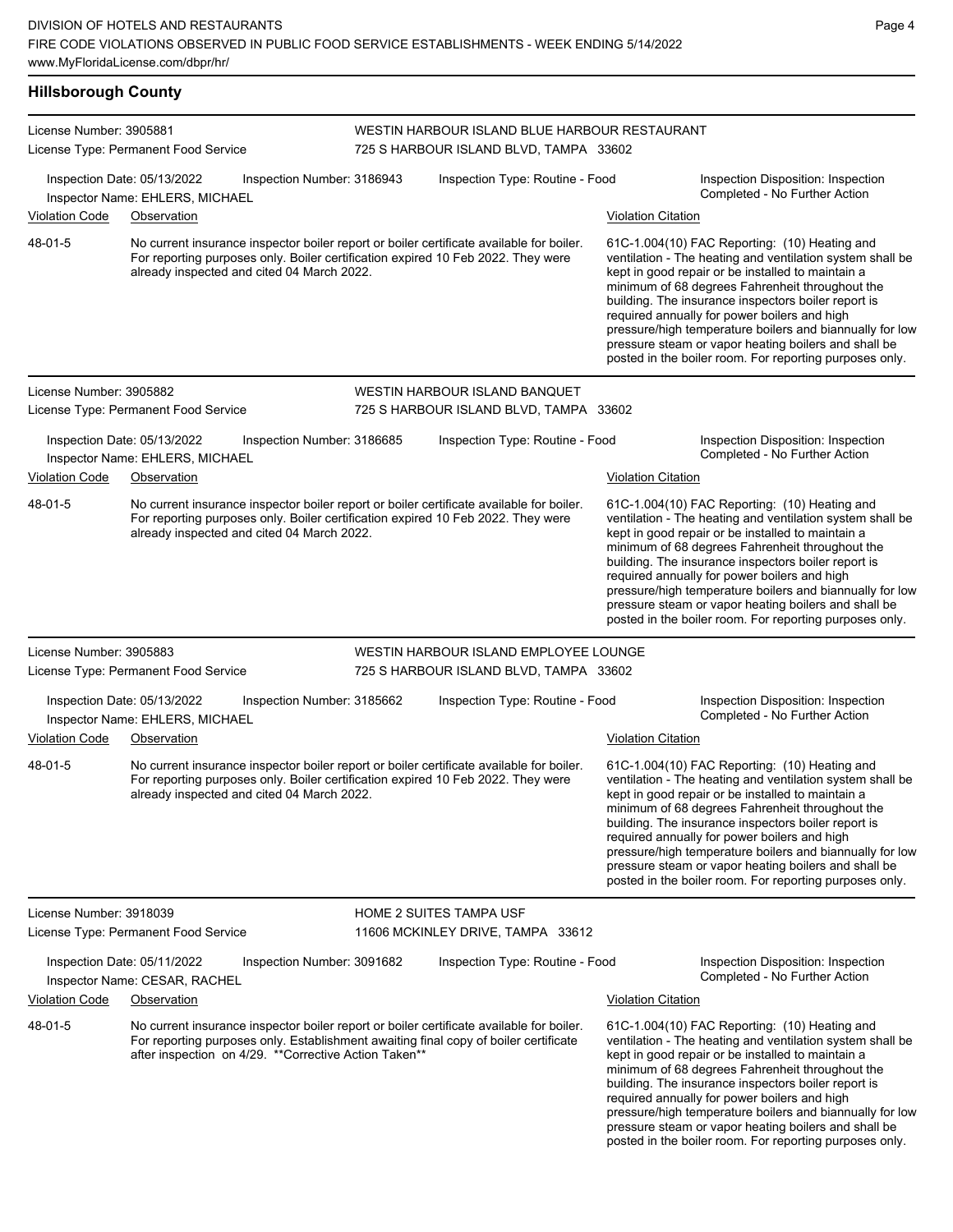### **Hillsborough County**

| License Number: 3905881 | License Type: Permanent Food Service                                                                                                                                                                                                       |                            | WESTIN HARBOUR ISLAND BLUE HARBOUR RESTAURANT<br>725 S HARBOUR ISLAND BLVD, TAMPA 33602 |                           |                                                                                                                                                                                                                                                                                                                                                                                                                                                                                                          |
|-------------------------|--------------------------------------------------------------------------------------------------------------------------------------------------------------------------------------------------------------------------------------------|----------------------------|-----------------------------------------------------------------------------------------|---------------------------|----------------------------------------------------------------------------------------------------------------------------------------------------------------------------------------------------------------------------------------------------------------------------------------------------------------------------------------------------------------------------------------------------------------------------------------------------------------------------------------------------------|
|                         | Inspection Date: 05/13/2022<br>Inspector Name: EHLERS, MICHAEL                                                                                                                                                                             | Inspection Number: 3186943 | Inspection Type: Routine - Food                                                         |                           | Inspection Disposition: Inspection<br>Completed - No Further Action                                                                                                                                                                                                                                                                                                                                                                                                                                      |
| <b>Violation Code</b>   | Observation                                                                                                                                                                                                                                |                            |                                                                                         | <b>Violation Citation</b> |                                                                                                                                                                                                                                                                                                                                                                                                                                                                                                          |
| 48-01-5                 | No current insurance inspector boiler report or boiler certificate available for boiler.<br>For reporting purposes only. Boiler certification expired 10 Feb 2022. They were<br>already inspected and cited 04 March 2022.                 |                            |                                                                                         |                           | 61C-1.004(10) FAC Reporting: (10) Heating and<br>ventilation - The heating and ventilation system shall be<br>kept in good repair or be installed to maintain a<br>minimum of 68 degrees Fahrenheit throughout the<br>building. The insurance inspectors boiler report is<br>required annually for power boilers and high<br>pressure/high temperature boilers and biannually for low<br>pressure steam or vapor heating boilers and shall be<br>posted in the boiler room. For reporting purposes only. |
| License Number: 3905882 |                                                                                                                                                                                                                                            |                            | WESTIN HARBOUR ISLAND BANQUET                                                           |                           |                                                                                                                                                                                                                                                                                                                                                                                                                                                                                                          |
|                         | License Type: Permanent Food Service                                                                                                                                                                                                       |                            | 725 S HARBOUR ISLAND BLVD, TAMPA 33602                                                  |                           |                                                                                                                                                                                                                                                                                                                                                                                                                                                                                                          |
|                         | Inspection Date: 05/13/2022<br>Inspector Name: EHLERS, MICHAEL                                                                                                                                                                             | Inspection Number: 3186685 | Inspection Type: Routine - Food                                                         |                           | Inspection Disposition: Inspection<br>Completed - No Further Action                                                                                                                                                                                                                                                                                                                                                                                                                                      |
| <b>Violation Code</b>   | Observation                                                                                                                                                                                                                                |                            |                                                                                         | <b>Violation Citation</b> |                                                                                                                                                                                                                                                                                                                                                                                                                                                                                                          |
| 48-01-5                 | No current insurance inspector boiler report or boiler certificate available for boiler.<br>For reporting purposes only. Boiler certification expired 10 Feb 2022. They were<br>already inspected and cited 04 March 2022.                 |                            |                                                                                         |                           | 61C-1.004(10) FAC Reporting: (10) Heating and<br>ventilation - The heating and ventilation system shall be<br>kept in good repair or be installed to maintain a<br>minimum of 68 degrees Fahrenheit throughout the<br>building. The insurance inspectors boiler report is<br>required annually for power boilers and high<br>pressure/high temperature boilers and biannually for low<br>pressure steam or vapor heating boilers and shall be<br>posted in the boiler room. For reporting purposes only. |
| License Number: 3905883 |                                                                                                                                                                                                                                            |                            | WESTIN HARBOUR ISLAND EMPLOYEE LOUNGE                                                   |                           |                                                                                                                                                                                                                                                                                                                                                                                                                                                                                                          |
|                         | License Type: Permanent Food Service                                                                                                                                                                                                       |                            | 725 S HARBOUR ISLAND BLVD, TAMPA 33602                                                  |                           |                                                                                                                                                                                                                                                                                                                                                                                                                                                                                                          |
|                         | Inspection Date: 05/13/2022<br>Inspector Name: EHLERS, MICHAEL                                                                                                                                                                             | Inspection Number: 3185662 | Inspection Type: Routine - Food                                                         |                           | Inspection Disposition: Inspection<br>Completed - No Further Action                                                                                                                                                                                                                                                                                                                                                                                                                                      |
| <b>Violation Code</b>   | Observation                                                                                                                                                                                                                                |                            |                                                                                         | <b>Violation Citation</b> |                                                                                                                                                                                                                                                                                                                                                                                                                                                                                                          |
| 48-01-5                 | No current insurance inspector boiler report or boiler certificate available for boiler.<br>For reporting purposes only. Boiler certification expired 10 Feb 2022. They were<br>already inspected and cited 04 March 2022.                 |                            |                                                                                         |                           | 61C-1.004(10) FAC Reporting: (10) Heating and<br>ventilation - The heating and ventilation system shall be<br>kept in good repair or be installed to maintain a<br>minimum of 68 degrees Fahrenheit throughout the<br>building. The insurance inspectors boiler report is<br>required annually for power boilers and high<br>pressure/high temperature boilers and biannually for low<br>pressure steam or vapor heating boilers and shall be<br>posted in the boiler room. For reporting purposes only. |
| License Number: 3918039 |                                                                                                                                                                                                                                            |                            | <b>HOME 2 SUITES TAMPA USF</b>                                                          |                           |                                                                                                                                                                                                                                                                                                                                                                                                                                                                                                          |
|                         | License Type: Permanent Food Service                                                                                                                                                                                                       |                            | 11606 MCKINLEY DRIVE, TAMPA 33612                                                       |                           |                                                                                                                                                                                                                                                                                                                                                                                                                                                                                                          |
|                         | Inspection Date: 05/11/2022<br>Inspector Name: CESAR, RACHEL                                                                                                                                                                               | Inspection Number: 3091682 | Inspection Type: Routine - Food                                                         |                           | Inspection Disposition: Inspection<br>Completed - No Further Action                                                                                                                                                                                                                                                                                                                                                                                                                                      |
| <b>Violation Code</b>   | Observation                                                                                                                                                                                                                                |                            |                                                                                         | <b>Violation Citation</b> |                                                                                                                                                                                                                                                                                                                                                                                                                                                                                                          |
| 48-01-5                 | No current insurance inspector boiler report or boiler certificate available for boiler.<br>For reporting purposes only. Establishment awaiting final copy of boiler certificate<br>after inspection on 4/29. ** Corrective Action Taken** |                            |                                                                                         |                           | 61C-1.004(10) FAC Reporting: (10) Heating and<br>ventilation - The heating and ventilation system shall be<br>kept in good repair or be installed to maintain a<br>minimum of 68 degrees Fahrenheit throughout the<br>building. The insurance inspectors boiler report is<br>required annually for power boilers and high<br>pressure/high temperature boilers and biannually for low<br>pressure steam or vapor heating boilers and shall be<br>posted in the boiler room. For reporting purposes only. |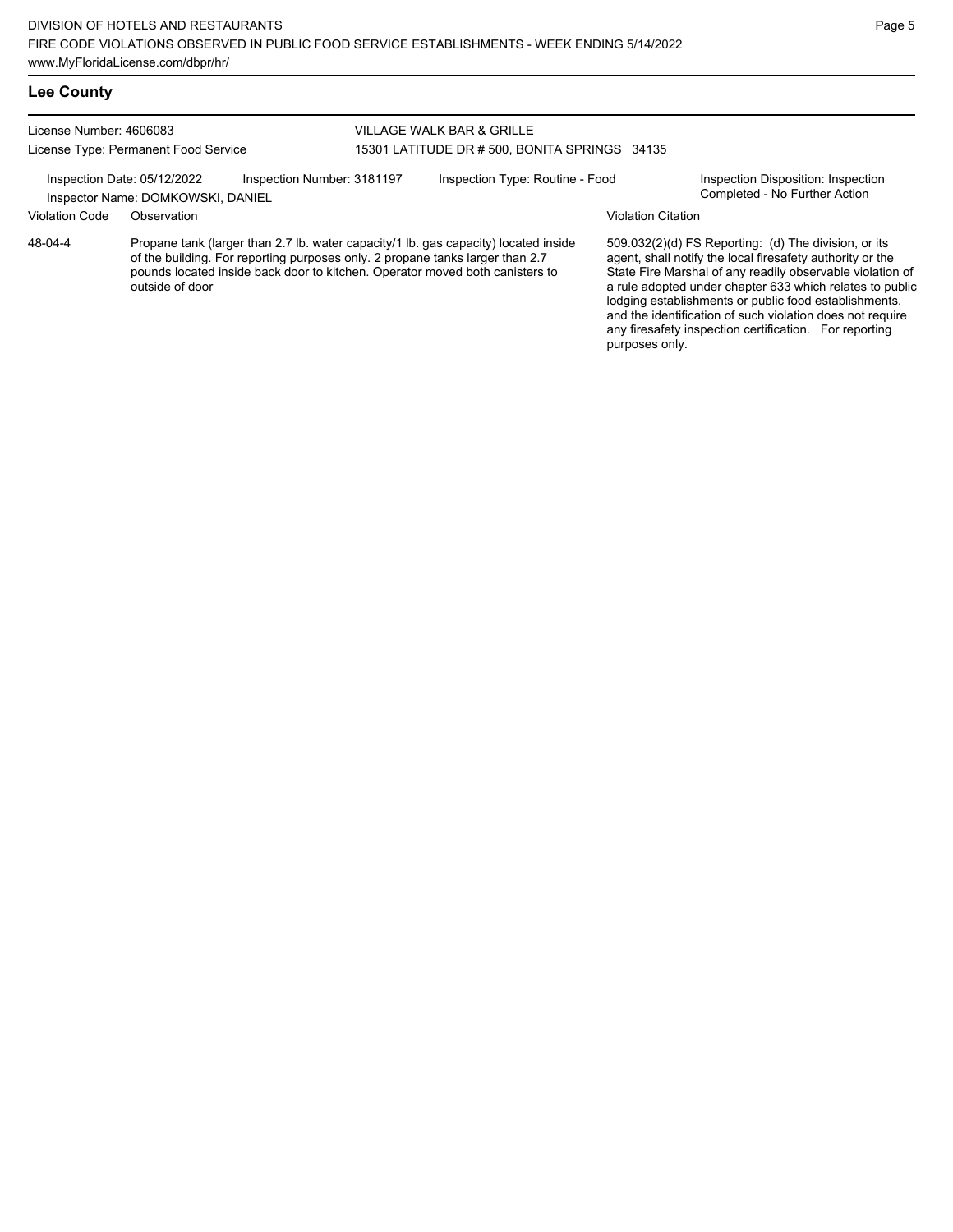#### **Lee County**

License Number: 4606083 License Type: Permanent Food Service

#### VILLAGE WALK BAR & GRILLE 15301 LATITUDE DR # 500, BONITA SPRINGS 34135

Inspection Date: 05/12/2022 Inspection Number: 3181197 Inspection Type: Routine - Food Inspection Disposition: Inspection<br>Inspector Name: DOMKOWSKI DANIFI

### Inspector Name: DOMKOWSKI, DANIEL

Violation Code Observation Violation Citation

Propane tank (larger than 2.7 lb. water capacity/1 lb. gas capacity) located inside of the building. For reporting purposes only. 2 propane tanks larger than 2.7 pounds located inside back door to kitchen. Operator moved both canisters to outside of door 48-04-4

509.032(2)(d) FS Reporting: (d) The division, or its agent, shall notify the local firesafety authority or the State Fire Marshal of any readily observable violation of a rule adopted under chapter 633 which relates to public lodging establishments or public food establishments, and the identification of such violation does not require any firesafety inspection certification. For reporting purposes only.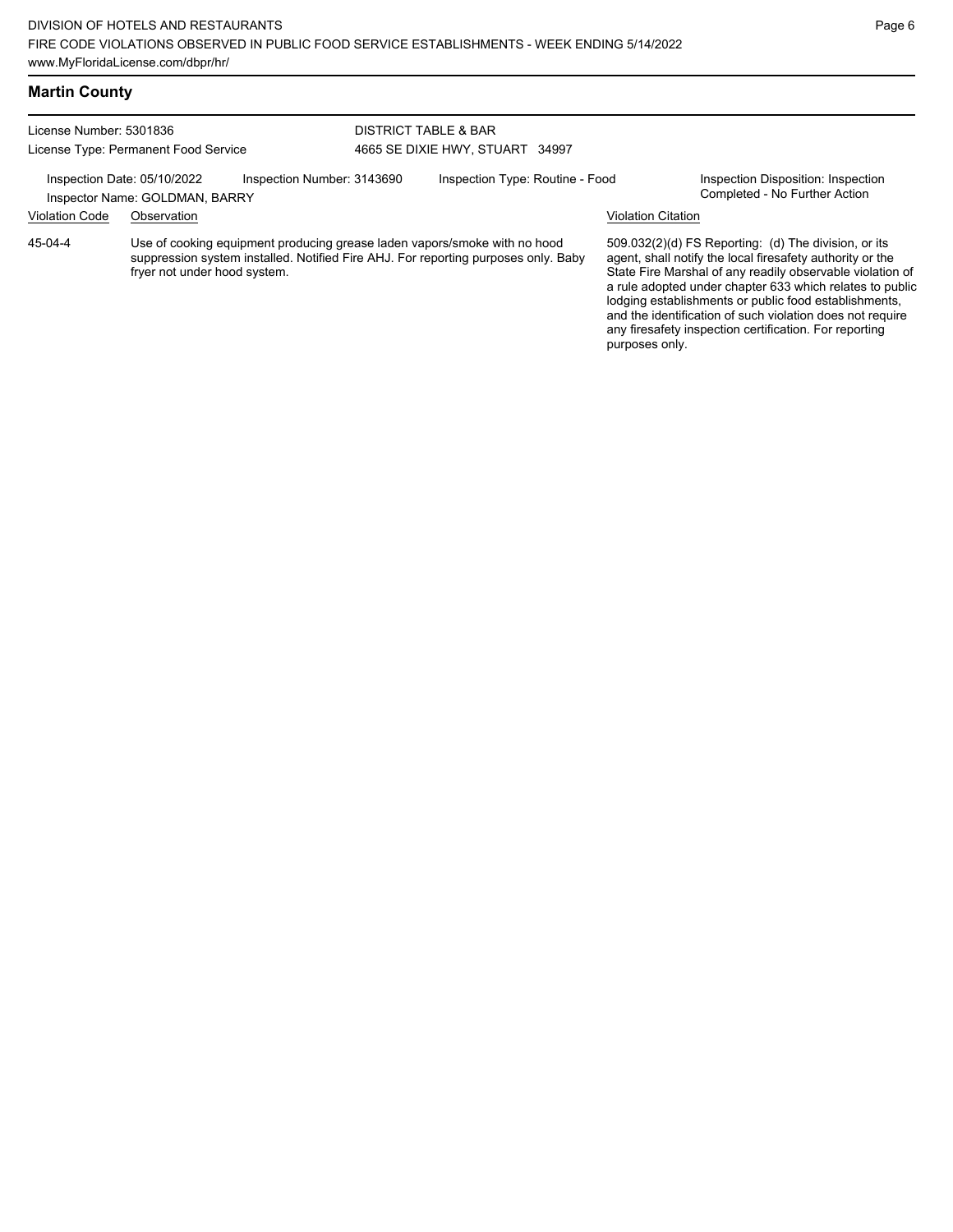### **Martin County**

| License Number: 5301836              |                                                               |                            | <b>DISTRICT TABLE &amp; BAR</b> |                                                                                                                                                                 |                           |                                                                                                                                                                                                                                                                                                                                                                                                                            |  |
|--------------------------------------|---------------------------------------------------------------|----------------------------|---------------------------------|-----------------------------------------------------------------------------------------------------------------------------------------------------------------|---------------------------|----------------------------------------------------------------------------------------------------------------------------------------------------------------------------------------------------------------------------------------------------------------------------------------------------------------------------------------------------------------------------------------------------------------------------|--|
| License Type: Permanent Food Service |                                                               |                            | 4665 SE DIXIE HWY, STUART 34997 |                                                                                                                                                                 |                           |                                                                                                                                                                                                                                                                                                                                                                                                                            |  |
|                                      | Inspection Date: 05/10/2022<br>Inspector Name: GOLDMAN, BARRY | Inspection Number: 3143690 |                                 | Inspection Type: Routine - Food                                                                                                                                 |                           | Inspection Disposition: Inspection<br>Completed - No Further Action                                                                                                                                                                                                                                                                                                                                                        |  |
| <b>Violation Code</b>                | Observation                                                   |                            |                                 |                                                                                                                                                                 | <b>Violation Citation</b> |                                                                                                                                                                                                                                                                                                                                                                                                                            |  |
| 45-04-4                              | fryer not under hood system.                                  |                            |                                 | Use of cooking equipment producing grease laden vapors/smoke with no hood<br>suppression system installed. Notified Fire AHJ. For reporting purposes only. Baby |                           | 509.032(2)(d) FS Reporting: (d) The division, or its<br>agent, shall notify the local firesafety authority or the<br>State Fire Marshal of any readily observable violation of<br>a rule adopted under chapter 633 which relates to public<br>lodging establishments or public food establishments,<br>and the identification of such violation does not require<br>any firesafety inspection certification. For reporting |  |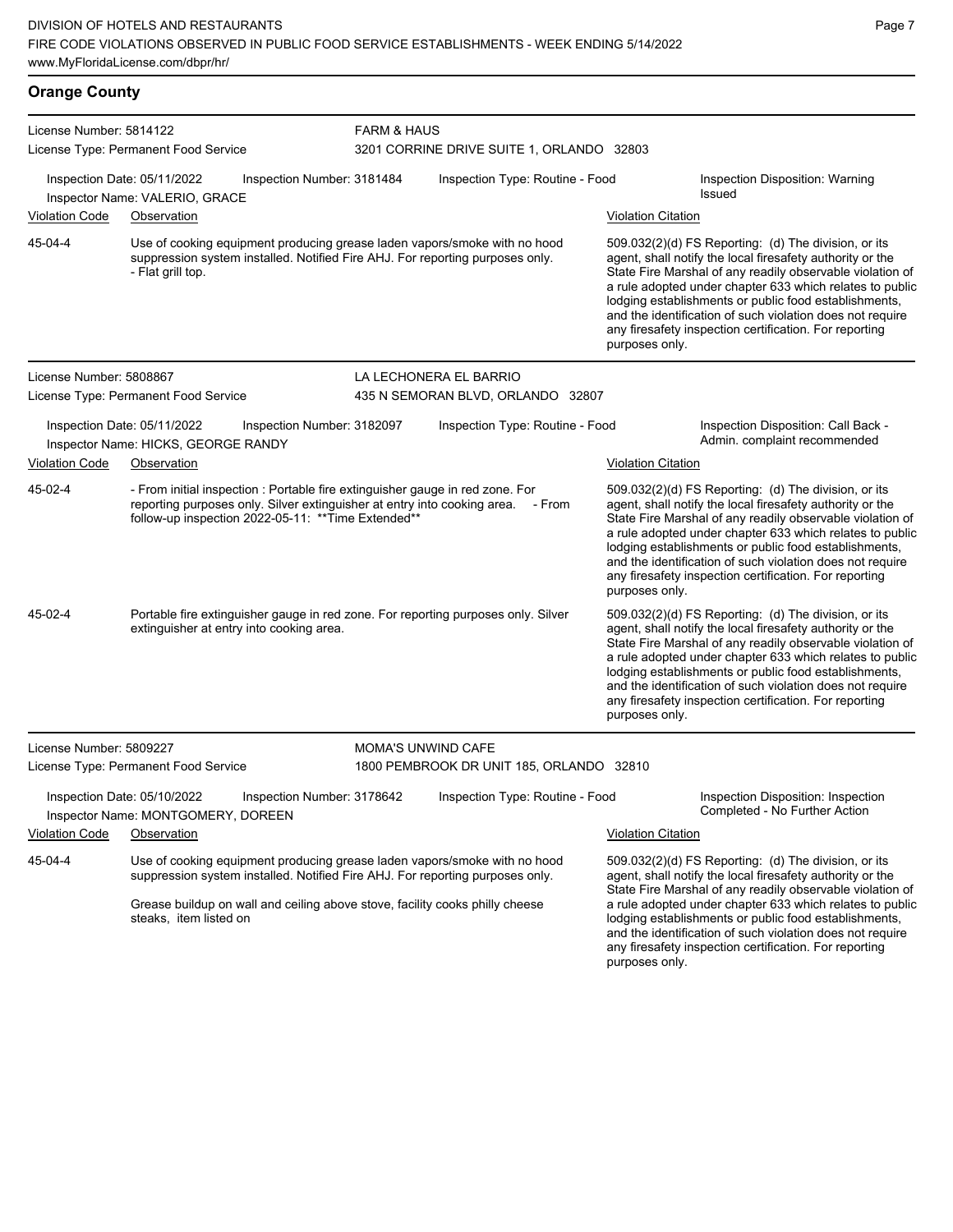| <b>Orange County</b> |  |
|----------------------|--|
|                      |  |

| License Number: 5814122 | License Type: Permanent Food Service                                                                                                                                                                                                                                 |                            | <b>FARM &amp; HAUS</b><br>3201 CORRINE DRIVE SUITE 1, ORLANDO 32803 |                                                                                                                                       |                                                                                                                                                                                                                                                                                                                                                                                                                            |  |  |  |
|-------------------------|----------------------------------------------------------------------------------------------------------------------------------------------------------------------------------------------------------------------------------------------------------------------|----------------------------|---------------------------------------------------------------------|---------------------------------------------------------------------------------------------------------------------------------------|----------------------------------------------------------------------------------------------------------------------------------------------------------------------------------------------------------------------------------------------------------------------------------------------------------------------------------------------------------------------------------------------------------------------------|--|--|--|
|                         | Inspection Date: 05/11/2022                                                                                                                                                                                                                                          | Inspection Number: 3181484 | Inspection Type: Routine - Food                                     |                                                                                                                                       | Inspection Disposition: Warning                                                                                                                                                                                                                                                                                                                                                                                            |  |  |  |
|                         | Inspector Name: VALERIO, GRACE                                                                                                                                                                                                                                       |                            |                                                                     |                                                                                                                                       | Issued                                                                                                                                                                                                                                                                                                                                                                                                                     |  |  |  |
| <b>Violation Code</b>   | Observation                                                                                                                                                                                                                                                          |                            |                                                                     | <b>Violation Citation</b>                                                                                                             |                                                                                                                                                                                                                                                                                                                                                                                                                            |  |  |  |
| 45-04-4                 | Use of cooking equipment producing grease laden vapors/smoke with no hood<br>suppression system installed. Notified Fire AHJ. For reporting purposes only.<br>- Flat grill top.                                                                                      |                            |                                                                     | purposes only.                                                                                                                        | 509.032(2)(d) FS Reporting: (d) The division, or its<br>agent, shall notify the local firesafety authority or the<br>State Fire Marshal of any readily observable violation of<br>a rule adopted under chapter 633 which relates to public<br>lodging establishments or public food establishments,<br>and the identification of such violation does not require<br>any firesafety inspection certification. For reporting |  |  |  |
| License Number: 5808867 |                                                                                                                                                                                                                                                                      |                            | LA LECHONERA EL BARRIO                                              |                                                                                                                                       |                                                                                                                                                                                                                                                                                                                                                                                                                            |  |  |  |
|                         | License Type: Permanent Food Service                                                                                                                                                                                                                                 |                            | 435 N SEMORAN BLVD, ORLANDO 32807                                   |                                                                                                                                       |                                                                                                                                                                                                                                                                                                                                                                                                                            |  |  |  |
|                         | Inspection Date: 05/11/2022<br>Inspector Name: HICKS, GEORGE RANDY                                                                                                                                                                                                   | Inspection Number: 3182097 | Inspection Type: Routine - Food                                     |                                                                                                                                       | Inspection Disposition: Call Back -<br>Admin. complaint recommended                                                                                                                                                                                                                                                                                                                                                        |  |  |  |
| <b>Violation Code</b>   | Observation                                                                                                                                                                                                                                                          |                            |                                                                     | <b>Violation Citation</b>                                                                                                             |                                                                                                                                                                                                                                                                                                                                                                                                                            |  |  |  |
| 45-02-4                 | - From initial inspection : Portable fire extinguisher gauge in red zone. For<br>reporting purposes only. Silver extinguisher at entry into cooking area.<br>follow-up inspection 2022-05-11: ** Time Extended**                                                     |                            | - From                                                              | purposes only.                                                                                                                        | 509.032(2)(d) FS Reporting: (d) The division, or its<br>agent, shall notify the local firesafety authority or the<br>State Fire Marshal of any readily observable violation of<br>a rule adopted under chapter 633 which relates to public<br>lodging establishments or public food establishments,<br>and the identification of such violation does not require<br>any firesafety inspection certification. For reporting |  |  |  |
| 45-02-4                 | Portable fire extinguisher gauge in red zone. For reporting purposes only. Silver<br>extinguisher at entry into cooking area.                                                                                                                                        |                            |                                                                     | purposes only.                                                                                                                        | 509.032(2)(d) FS Reporting: (d) The division, or its<br>agent, shall notify the local firesafety authority or the<br>State Fire Marshal of any readily observable violation of<br>a rule adopted under chapter 633 which relates to public<br>lodging establishments or public food establishments,<br>and the identification of such violation does not require<br>any firesafety inspection certification. For reporting |  |  |  |
| License Number: 5809227 |                                                                                                                                                                                                                                                                      |                            | <b>MOMA'S UNWIND CAFE</b>                                           |                                                                                                                                       |                                                                                                                                                                                                                                                                                                                                                                                                                            |  |  |  |
|                         | License Type: Permanent Food Service                                                                                                                                                                                                                                 |                            | 1800 PEMBROOK DR UNIT 185, ORLANDO 32810                            |                                                                                                                                       |                                                                                                                                                                                                                                                                                                                                                                                                                            |  |  |  |
|                         | Inspection Date: 05/10/2022<br>Inspector Name: MONTGOMERY, DOREEN                                                                                                                                                                                                    | Inspection Number: 3178642 | Inspection Type: Routine - Food                                     |                                                                                                                                       | Inspection Disposition: Inspection<br>Completed - No Further Action                                                                                                                                                                                                                                                                                                                                                        |  |  |  |
| <b>Violation Code</b>   | Observation                                                                                                                                                                                                                                                          |                            |                                                                     | <b>Violation Citation</b>                                                                                                             |                                                                                                                                                                                                                                                                                                                                                                                                                            |  |  |  |
| 45-04-4                 | Use of cooking equipment producing grease laden vapors/smoke with no hood<br>suppression system installed. Notified Fire AHJ. For reporting purposes only.<br>Grease buildup on wall and ceiling above stove, facility cooks philly cheese<br>steaks, item listed on |                            |                                                                     |                                                                                                                                       | 509.032(2)(d) FS Reporting: (d) The division, or its<br>agent, shall notify the local firesafety authority or the<br>State Fire Marshal of any readily observable violation of<br>a rule adopted under chapter 633 which relates to public<br>lodging establishments or public food establishments,                                                                                                                        |  |  |  |
|                         |                                                                                                                                                                                                                                                                      |                            |                                                                     | and the identification of such violation does not require<br>any firesafety inspection certification. For reporting<br>purposes only. |                                                                                                                                                                                                                                                                                                                                                                                                                            |  |  |  |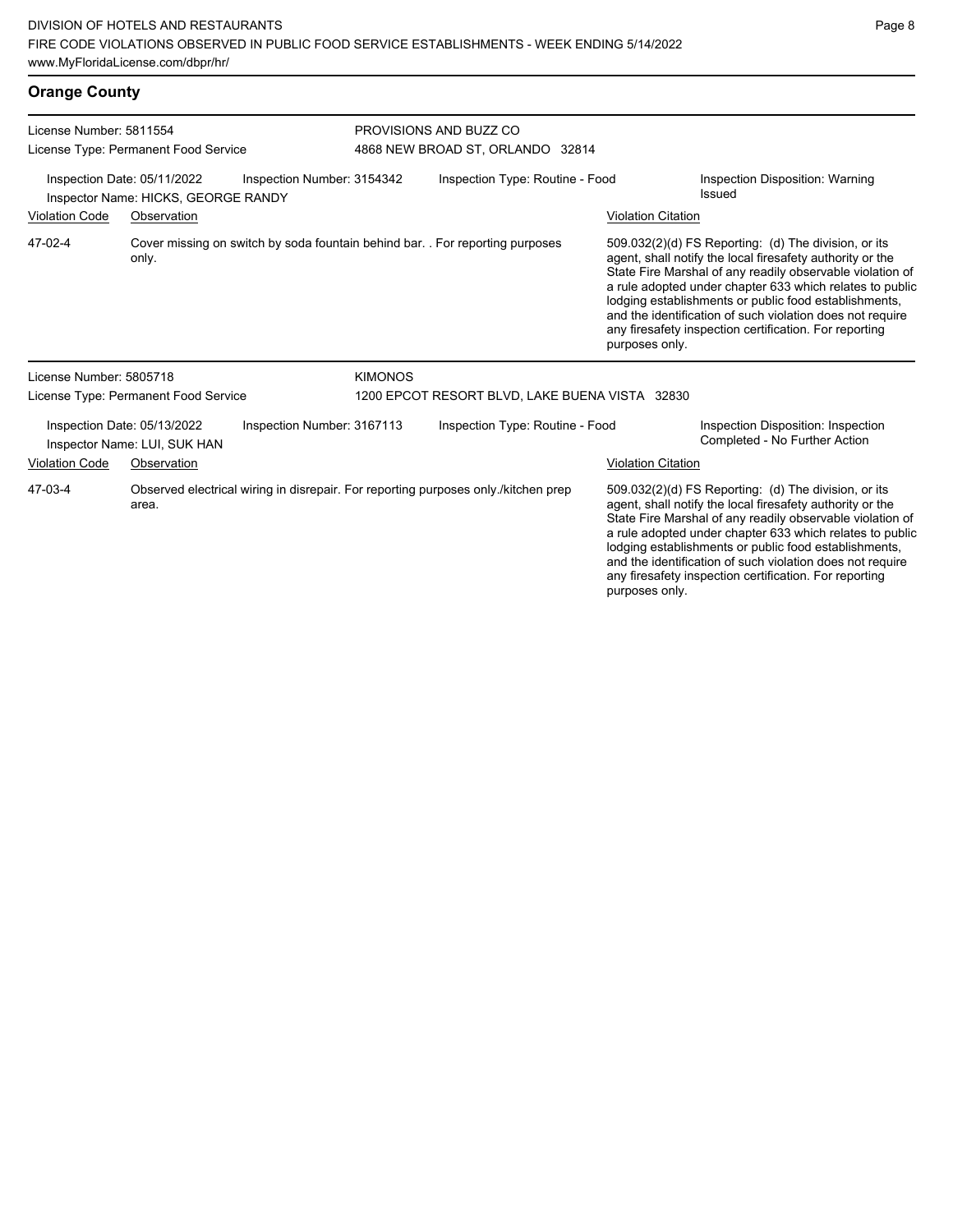| <b>Orange County</b>                                            |                                                                    |                            |                                                            |                                                                                    |                           |                                                                                                                                                                                                                                                                                                                                                                                                                            |  |
|-----------------------------------------------------------------|--------------------------------------------------------------------|----------------------------|------------------------------------------------------------|------------------------------------------------------------------------------------|---------------------------|----------------------------------------------------------------------------------------------------------------------------------------------------------------------------------------------------------------------------------------------------------------------------------------------------------------------------------------------------------------------------------------------------------------------------|--|
| License Number: 5811554<br>License Type: Permanent Food Service |                                                                    |                            | PROVISIONS AND BUZZ CO<br>4868 NEW BROAD ST, ORLANDO 32814 |                                                                                    |                           |                                                                                                                                                                                                                                                                                                                                                                                                                            |  |
|                                                                 | Inspection Date: 05/11/2022<br>Inspector Name: HICKS, GEORGE RANDY | Inspection Number: 3154342 |                                                            | Inspection Type: Routine - Food                                                    |                           | Inspection Disposition: Warning<br>Issued                                                                                                                                                                                                                                                                                                                                                                                  |  |
| <b>Violation Code</b>                                           | Observation                                                        |                            |                                                            |                                                                                    | <b>Violation Citation</b> |                                                                                                                                                                                                                                                                                                                                                                                                                            |  |
| 47-02-4                                                         | only.                                                              |                            |                                                            | Cover missing on switch by soda fountain behind bar. For reporting purposes        | purposes only.            | 509.032(2)(d) FS Reporting: (d) The division, or its<br>agent, shall notify the local firesafety authority or the<br>State Fire Marshal of any readily observable violation of<br>a rule adopted under chapter 633 which relates to public<br>lodging establishments or public food establishments,<br>and the identification of such violation does not require<br>any firesafety inspection certification. For reporting |  |
| License Number: 5805718                                         |                                                                    |                            | <b>KIMONOS</b>                                             |                                                                                    |                           |                                                                                                                                                                                                                                                                                                                                                                                                                            |  |
|                                                                 | License Type: Permanent Food Service                               |                            |                                                            | 1200 EPCOT RESORT BLVD, LAKE BUENA VISTA 32830                                     |                           |                                                                                                                                                                                                                                                                                                                                                                                                                            |  |
|                                                                 | Inspection Date: 05/13/2022<br>Inspector Name: LUI, SUK HAN        | Inspection Number: 3167113 |                                                            | Inspection Type: Routine - Food                                                    |                           | Inspection Disposition: Inspection<br>Completed - No Further Action                                                                                                                                                                                                                                                                                                                                                        |  |
| <b>Violation Code</b>                                           | Observation                                                        |                            |                                                            |                                                                                    | <b>Violation Citation</b> |                                                                                                                                                                                                                                                                                                                                                                                                                            |  |
| 47-03-4                                                         | area.                                                              |                            |                                                            | Observed electrical wiring in disrepair. For reporting purposes only /kitchen prep |                           | 509.032(2)(d) FS Reporting: (d) The division, or its<br>agent, shall notify the local firesafety authority or the<br>State Fire Marshal of any readily observable violation of<br>a rule adopted under chapter 633 which relates to public<br>lodging establishments or public food establishments,                                                                                                                        |  |

and the identification of such violation does not require any firesafety inspection certification. For reporting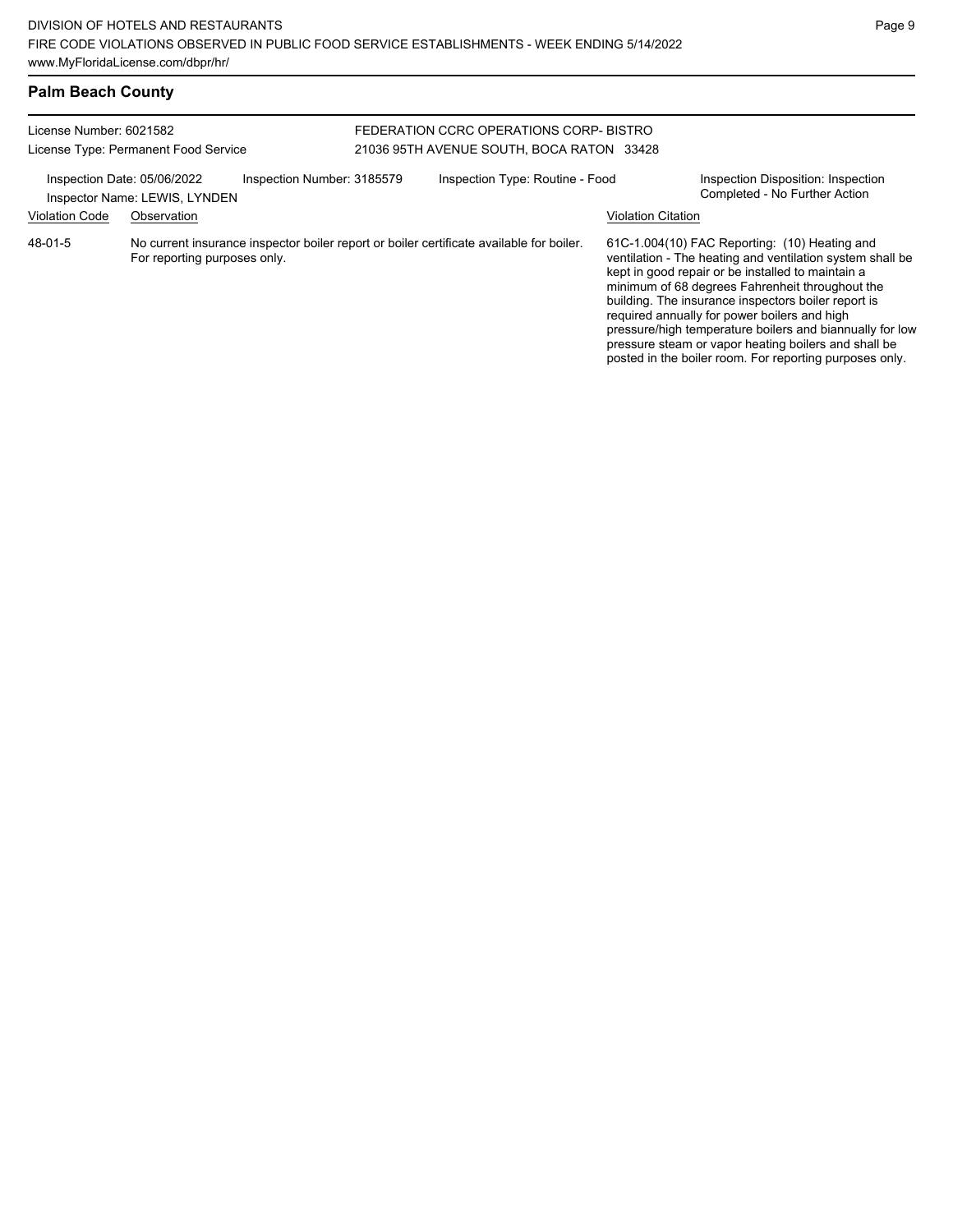required annually for power boilers and high

pressure/high temperature boilers and biannually for low pressure steam or vapor heating boilers and shall be posted in the boiler room. For reporting purposes only.

## **Palm Beach County**

| License Number: 6021582     | License Type: Permanent Food Service |                            | FEDERATION CCRC OPERATIONS CORP- BISTRO<br>21036 95TH AVENUE SOUTH, BOCA RATON 33428     |                           |                                                                                                                                                                                                                                                                           |
|-----------------------------|--------------------------------------|----------------------------|------------------------------------------------------------------------------------------|---------------------------|---------------------------------------------------------------------------------------------------------------------------------------------------------------------------------------------------------------------------------------------------------------------------|
| Inspection Date: 05/06/2022 | Inspector Name: LEWIS, LYNDEN        | Inspection Number: 3185579 | Inspection Type: Routine - Food                                                          |                           | Inspection Disposition: Inspection<br>Completed - No Further Action                                                                                                                                                                                                       |
| <b>Violation Code</b>       | Observation                          |                            |                                                                                          | <b>Violation Citation</b> |                                                                                                                                                                                                                                                                           |
| 48-01-5                     | For reporting purposes only.         |                            | No current insurance inspector boiler report or boiler certificate available for boiler. |                           | 61C-1.004(10) FAC Reporting: (10) Heating and<br>ventilation - The heating and ventilation system shall be<br>kept in good repair or be installed to maintain a<br>minimum of 68 degrees Fahrenheit throughout the<br>building. The insurance inspectors boiler report is |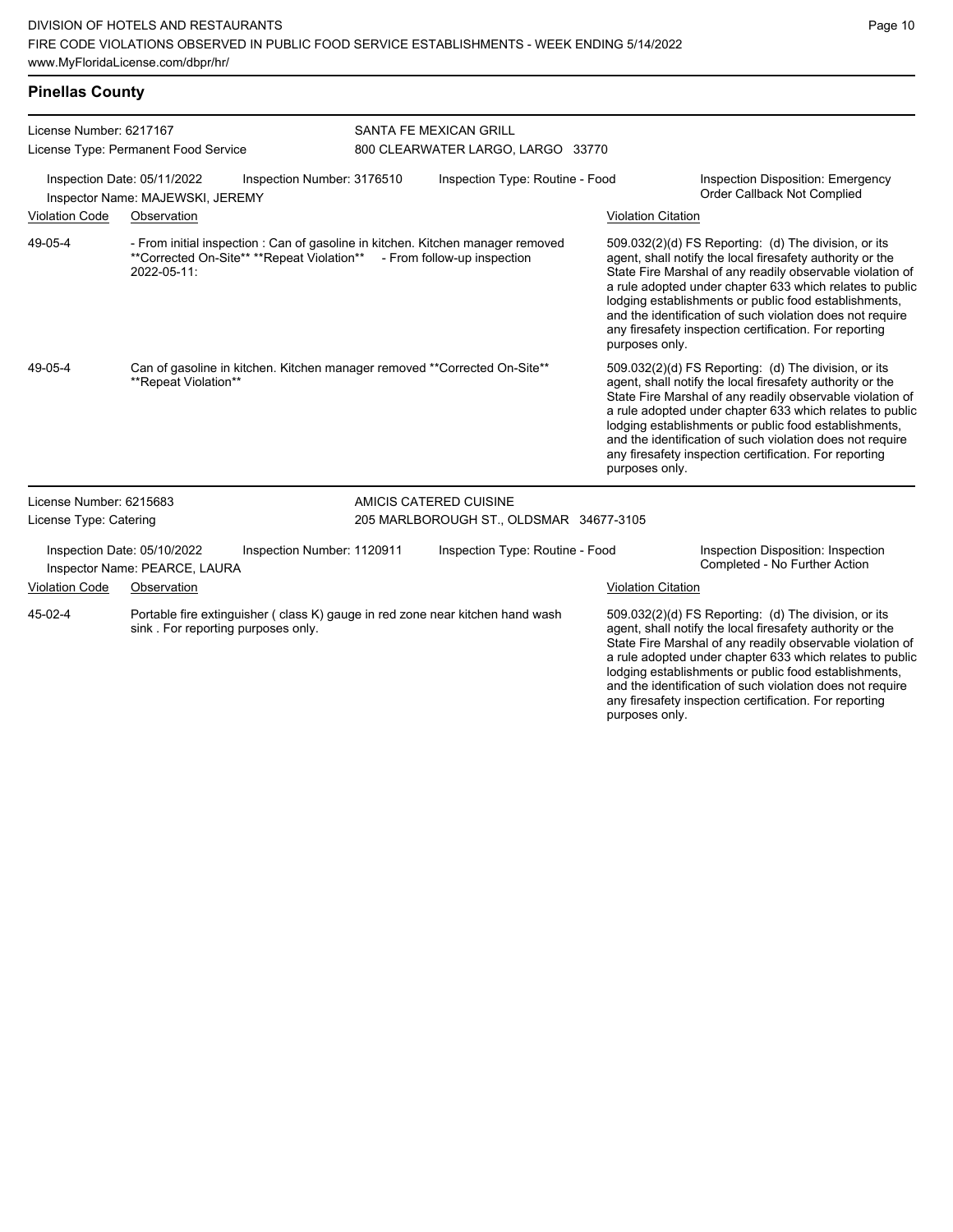| License Number: 6217167<br>License Type: Permanent Food Service                               |                                                              | SANTA FE MEXICAN GRILL<br>800 CLEARWATER LARGO, LARGO 33770 |                                 |                                                                                                                |  |                                                                                                                                                                                                                                                                                                                                                                                                                                              |
|-----------------------------------------------------------------------------------------------|--------------------------------------------------------------|-------------------------------------------------------------|---------------------------------|----------------------------------------------------------------------------------------------------------------|--|----------------------------------------------------------------------------------------------------------------------------------------------------------------------------------------------------------------------------------------------------------------------------------------------------------------------------------------------------------------------------------------------------------------------------------------------|
| Inspection Date: 05/11/2022<br>Inspection Number: 3176510<br>Inspector Name: MAJEWSKI, JEREMY |                                                              |                                                             | Inspection Type: Routine - Food |                                                                                                                |  | <b>Inspection Disposition: Emergency</b><br>Order Callback Not Complied                                                                                                                                                                                                                                                                                                                                                                      |
| <b>Violation Code</b>                                                                         | Observation                                                  |                                                             |                                 |                                                                                                                |  | <b>Violation Citation</b>                                                                                                                                                                                                                                                                                                                                                                                                                    |
| 49-05-4                                                                                       | 2022-05-11:                                                  | **Corrected On-Site** **Repeat Violation**                  |                                 | - From initial inspection : Can of gasoline in kitchen. Kitchen manager removed<br>- From follow-up inspection |  | 509.032(2)(d) FS Reporting: (d) The division, or its<br>agent, shall notify the local firesafety authority or the<br>State Fire Marshal of any readily observable violation of<br>a rule adopted under chapter 633 which relates to public<br>lodging establishments or public food establishments,<br>and the identification of such violation does not require<br>any firesafety inspection certification. For reporting<br>purposes only. |
| 49-05-4                                                                                       | **Repeat Violation**                                         |                                                             |                                 | Can of gasoline in kitchen. Kitchen manager removed **Corrected On-Site**                                      |  | 509.032(2)(d) FS Reporting: (d) The division, or its<br>agent, shall notify the local firesafety authority or the<br>State Fire Marshal of any readily observable violation of<br>a rule adopted under chapter 633 which relates to public<br>lodging establishments or public food establishments,<br>and the identification of such violation does not require<br>any firesafety inspection certification. For reporting<br>purposes only. |
| License Number: 6215683                                                                       |                                                              |                                                             |                                 | AMICIS CATERED CUISINE                                                                                         |  |                                                                                                                                                                                                                                                                                                                                                                                                                                              |
| License Type: Catering                                                                        |                                                              |                                                             |                                 | 205 MARLBOROUGH ST., OLDSMAR 34677-3105                                                                        |  |                                                                                                                                                                                                                                                                                                                                                                                                                                              |
|                                                                                               | Inspection Date: 05/10/2022<br>Inspector Name: PEARCE, LAURA | Inspection Number: 1120911                                  |                                 | Inspection Type: Routine - Food                                                                                |  | Inspection Disposition: Inspection<br>Completed - No Further Action                                                                                                                                                                                                                                                                                                                                                                          |
| <b>Violation Code</b>                                                                         | Observation                                                  |                                                             |                                 |                                                                                                                |  | <b>Violation Citation</b>                                                                                                                                                                                                                                                                                                                                                                                                                    |
| 45-02-4                                                                                       | sink. For reporting purposes only.                           |                                                             |                                 | Portable fire extinguisher (class K) gauge in red zone near kitchen hand wash                                  |  | 509.032(2)(d) FS Reporting: (d) The division, or its<br>agent, shall notify the local firesafety authority or the<br>State Fire Marshal of any readily observable violation of<br>a rule adopted under chapter 633 which relates to public<br>lodging establishments or public food establishments,<br>and the identification of such violation does not require<br>any firesafety inspection certification. For reporting<br>purposes only. |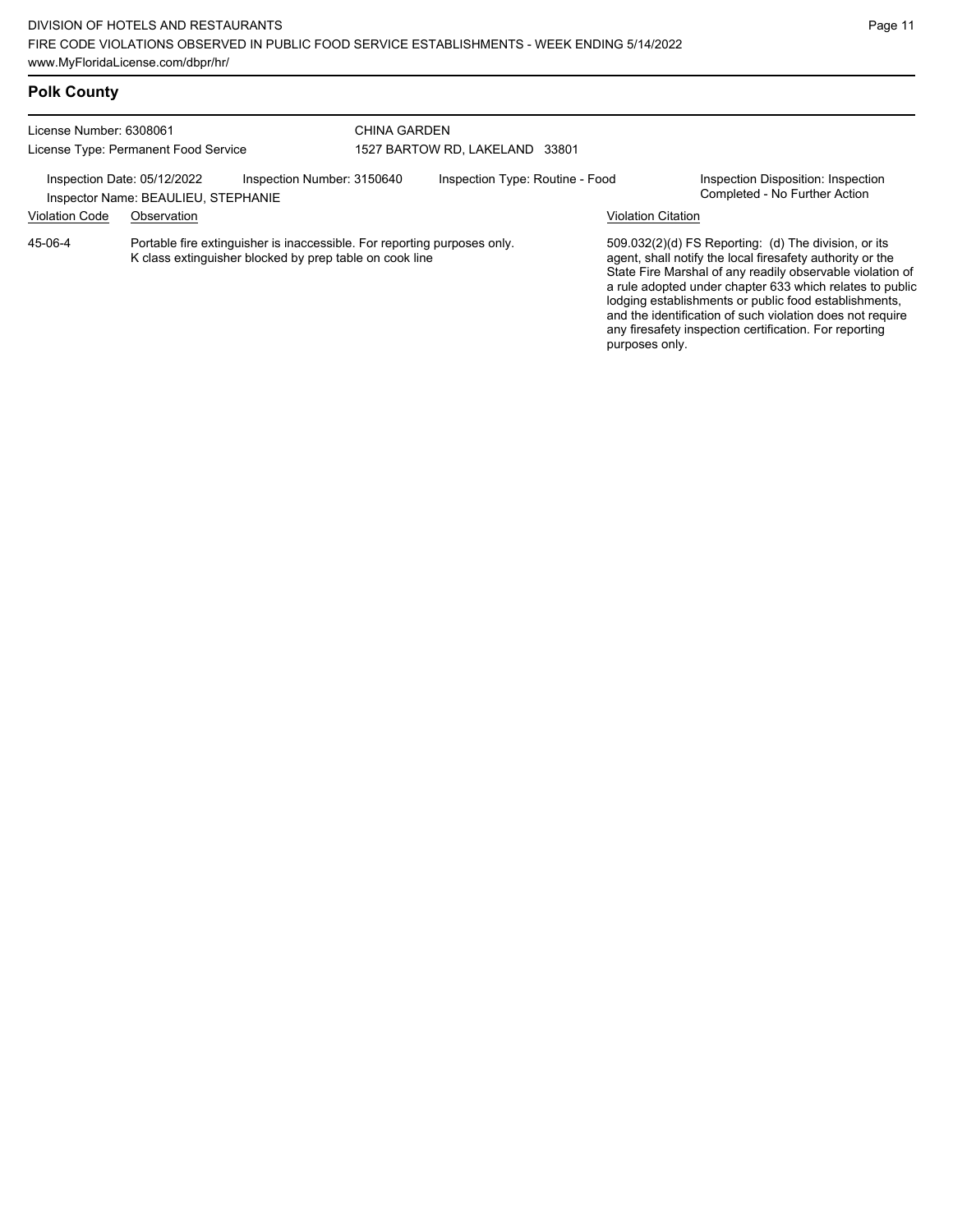# **Polk County**

| License Number: 6308061<br>License Type: Permanent Food Service |                                     | <b>CHINA GARDEN</b>                                                                                                                | 1527 BARTOW RD, LAKELAND 33801 |                                 |                           |                                                                                                                                                                                                                                                                                                                                                                                                                            |
|-----------------------------------------------------------------|-------------------------------------|------------------------------------------------------------------------------------------------------------------------------------|--------------------------------|---------------------------------|---------------------------|----------------------------------------------------------------------------------------------------------------------------------------------------------------------------------------------------------------------------------------------------------------------------------------------------------------------------------------------------------------------------------------------------------------------------|
| Inspection Date: 05/12/2022                                     | Inspector Name: BEAULIEU, STEPHANIE | Inspection Number: 3150640                                                                                                         |                                | Inspection Type: Routine - Food |                           | Inspection Disposition: Inspection<br>Completed - No Further Action                                                                                                                                                                                                                                                                                                                                                        |
| <b>Violation Code</b>                                           | Observation                         |                                                                                                                                    |                                |                                 | <b>Violation Citation</b> |                                                                                                                                                                                                                                                                                                                                                                                                                            |
| 45-06-4                                                         |                                     | Portable fire extinguisher is inaccessible. For reporting purposes only<br>K class extinguisher blocked by prep table on cook line |                                |                                 | purposes only.            | 509.032(2)(d) FS Reporting: (d) The division, or its<br>agent, shall notify the local firesafety authority or the<br>State Fire Marshal of any readily observable violation of<br>a rule adopted under chapter 633 which relates to public<br>lodging establishments or public food establishments,<br>and the identification of such violation does not require<br>any firesafety inspection certification. For reporting |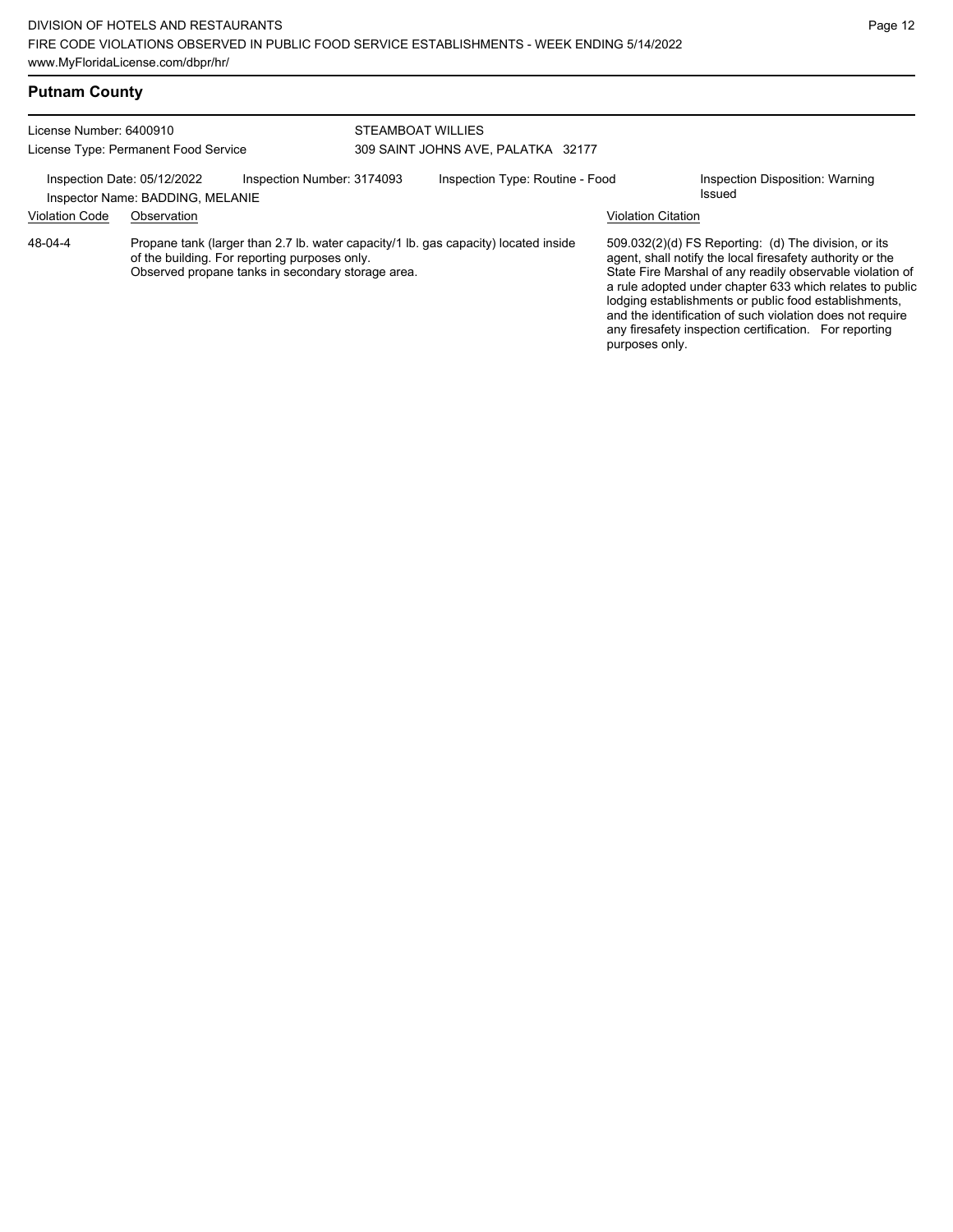| <b>Putnam County</b>    |                                                                 |                                                                                                    |                                                                                     |                           |                                                                                                                                                                                                                                                                                                                                                                                                                            |
|-------------------------|-----------------------------------------------------------------|----------------------------------------------------------------------------------------------------|-------------------------------------------------------------------------------------|---------------------------|----------------------------------------------------------------------------------------------------------------------------------------------------------------------------------------------------------------------------------------------------------------------------------------------------------------------------------------------------------------------------------------------------------------------------|
| License Number: 6400910 | License Type: Permanent Food Service                            |                                                                                                    | STEAMBOAT WILLIES<br>309 SAINT JOHNS AVE, PALATKA 32177                             |                           |                                                                                                                                                                                                                                                                                                                                                                                                                            |
|                         | Inspection Date: 05/12/2022<br>Inspector Name: BADDING, MELANIE | Inspection Number: 3174093                                                                         | Inspection Type: Routine - Food                                                     |                           | Inspection Disposition: Warning<br>Issued                                                                                                                                                                                                                                                                                                                                                                                  |
| <b>Violation Code</b>   | Observation                                                     |                                                                                                    |                                                                                     | <b>Violation Citation</b> |                                                                                                                                                                                                                                                                                                                                                                                                                            |
| 48-04-4                 |                                                                 | of the building. For reporting purposes only.<br>Observed propane tanks in secondary storage area. | Propane tank (larger than 2.7 lb. water capacity/1 lb. gas capacity) located inside | purposes only.            | 509.032(2)(d) FS Reporting: (d) The division, or its<br>agent, shall notify the local firesafety authority or the<br>State Fire Marshal of any readily observable violation of<br>a rule adopted under chapter 633 which relates to public<br>lodging establishments or public food establishments,<br>and the identification of such violation does not require<br>any firesafety inspection certification. For reporting |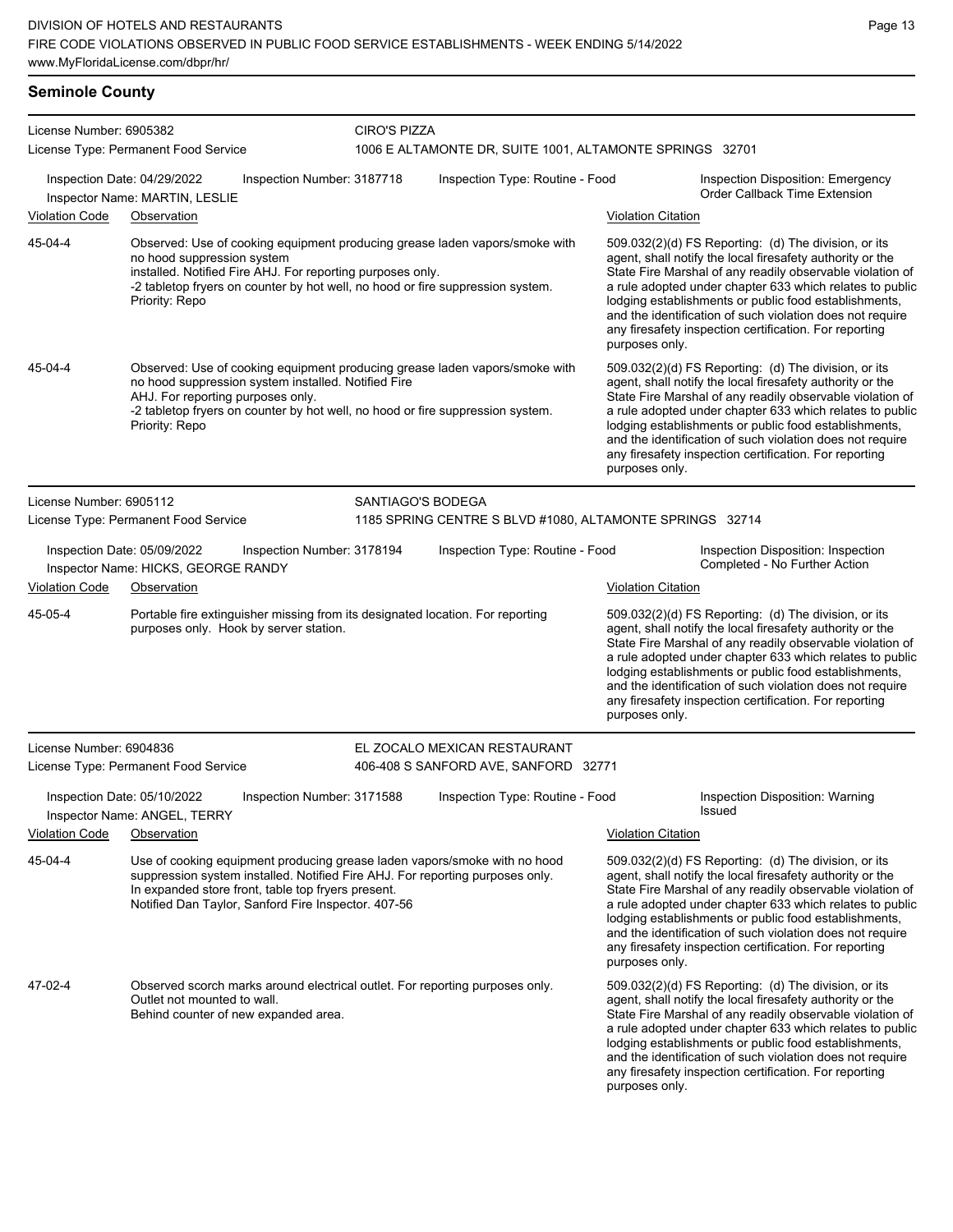| License Number: 6905382     |                                                                                                                                                                                                                                                                             | <b>CIRO'S PIZZA</b> |                                                                      |                           |                                                                                                                                                                                                                                                                                                                                                                                                                              |
|-----------------------------|-----------------------------------------------------------------------------------------------------------------------------------------------------------------------------------------------------------------------------------------------------------------------------|---------------------|----------------------------------------------------------------------|---------------------------|------------------------------------------------------------------------------------------------------------------------------------------------------------------------------------------------------------------------------------------------------------------------------------------------------------------------------------------------------------------------------------------------------------------------------|
|                             | License Type: Permanent Food Service                                                                                                                                                                                                                                        |                     | 1006 E ALTAMONTE DR, SUITE 1001, ALTAMONTE SPRINGS 32701             |                           |                                                                                                                                                                                                                                                                                                                                                                                                                              |
| Inspection Date: 04/29/2022 | Inspection Number: 3187718<br>Inspector Name: MARTIN, LESLIE                                                                                                                                                                                                                |                     | Inspection Type: Routine - Food                                      |                           | Inspection Disposition: Emergency<br><b>Order Callback Time Extension</b>                                                                                                                                                                                                                                                                                                                                                    |
| <b>Violation Code</b>       | Observation                                                                                                                                                                                                                                                                 |                     |                                                                      | <b>Violation Citation</b> |                                                                                                                                                                                                                                                                                                                                                                                                                              |
| 45-04-4                     | Observed: Use of cooking equipment producing grease laden vapors/smoke with<br>no hood suppression system<br>installed. Notified Fire AHJ. For reporting purposes only.<br>-2 tabletop fryers on counter by hot well, no hood or fire suppression system.<br>Priority: Repo |                     |                                                                      | purposes only.            | 509.032(2)(d) FS Reporting: (d) The division, or its<br>agent, shall notify the local firesafety authority or the<br>State Fire Marshal of any readily observable violation of<br>a rule adopted under chapter 633 which relates to public<br>lodging establishments or public food establishments,<br>and the identification of such violation does not require<br>any firesafety inspection certification. For reporting   |
| 45-04-4                     | Observed: Use of cooking equipment producing grease laden vapors/smoke with<br>no hood suppression system installed. Notified Fire<br>AHJ. For reporting purposes only.<br>-2 tabletop fryers on counter by hot well, no hood or fire suppression system.<br>Priority: Repo |                     |                                                                      | purposes only.            | 509.032(2)(d) FS Reporting: (d) The division, or its<br>agent, shall notify the local firesafety authority or the<br>State Fire Marshal of any readily observable violation of<br>a rule adopted under chapter 633 which relates to public<br>lodging establishments or public food establishments,<br>and the identification of such violation does not require<br>any firesafety inspection certification. For reporting   |
| License Number: 6905112     |                                                                                                                                                                                                                                                                             | SANTIAGO'S BODEGA   |                                                                      |                           |                                                                                                                                                                                                                                                                                                                                                                                                                              |
|                             | License Type: Permanent Food Service                                                                                                                                                                                                                                        |                     | 1185 SPRING CENTRE S BLVD #1080, ALTAMONTE SPRINGS 32714             |                           |                                                                                                                                                                                                                                                                                                                                                                                                                              |
| Inspection Date: 05/09/2022 | Inspection Number: 3178194<br>Inspector Name: HICKS, GEORGE RANDY                                                                                                                                                                                                           |                     | Inspection Type: Routine - Food                                      |                           | Inspection Disposition: Inspection<br>Completed - No Further Action                                                                                                                                                                                                                                                                                                                                                          |
| <b>Violation Code</b>       | Observation                                                                                                                                                                                                                                                                 |                     |                                                                      | <b>Violation Citation</b> |                                                                                                                                                                                                                                                                                                                                                                                                                              |
| 45-05-4                     | Portable fire extinguisher missing from its designated location. For reporting<br>purposes only. Hook by server station.                                                                                                                                                    |                     |                                                                      | purposes only.            | 509.032(2)(d) FS Reporting: (d) The division, or its<br>agent, shall notify the local firesafety authority or the<br>State Fire Marshal of any readily observable violation of<br>a rule adopted under chapter 633 which relates to public<br>lodging establishments or public food establishments,<br>and the identification of such violation does not require<br>any firesafety inspection certification. For reporting   |
| License Number: 6904836     | License Type: Permanent Food Service                                                                                                                                                                                                                                        |                     | EL ZOCALO MEXICAN RESTAURANT<br>406-408 S SANFORD AVE, SANFORD 32771 |                           |                                                                                                                                                                                                                                                                                                                                                                                                                              |
| Inspection Date: 05/10/2022 | Inspection Number: 3171588<br>Inspector Name: ANGEL, TERRY                                                                                                                                                                                                                  |                     | Inspection Type: Routine - Food                                      |                           | Inspection Disposition: Warning<br>Issued                                                                                                                                                                                                                                                                                                                                                                                    |
| Violation Code              | Observation                                                                                                                                                                                                                                                                 |                     |                                                                      | <b>Violation Citation</b> |                                                                                                                                                                                                                                                                                                                                                                                                                              |
| 45-04-4                     | Use of cooking equipment producing grease laden vapors/smoke with no hood<br>suppression system installed. Notified Fire AHJ. For reporting purposes only.<br>In expanded store front, table top fryers present.<br>Notified Dan Taylor, Sanford Fire Inspector. 407-56     |                     |                                                                      | purposes only.            | $509.032(2)(d)$ FS Reporting: (d) The division, or its<br>agent, shall notify the local firesafety authority or the<br>State Fire Marshal of any readily observable violation of<br>a rule adopted under chapter 633 which relates to public<br>lodging establishments or public food establishments,<br>and the identification of such violation does not require<br>any firesafety inspection certification. For reporting |
| 47-02-4                     | Observed scorch marks around electrical outlet. For reporting purposes only.<br>Outlet not mounted to wall.<br>Behind counter of new expanded area.                                                                                                                         |                     |                                                                      | purposes only.            | 509.032(2)(d) FS Reporting: (d) The division, or its<br>agent, shall notify the local firesafety authority or the<br>State Fire Marshal of any readily observable violation of<br>a rule adopted under chapter 633 which relates to public<br>lodging establishments or public food establishments,<br>and the identification of such violation does not require<br>any firesafety inspection certification. For reporting   |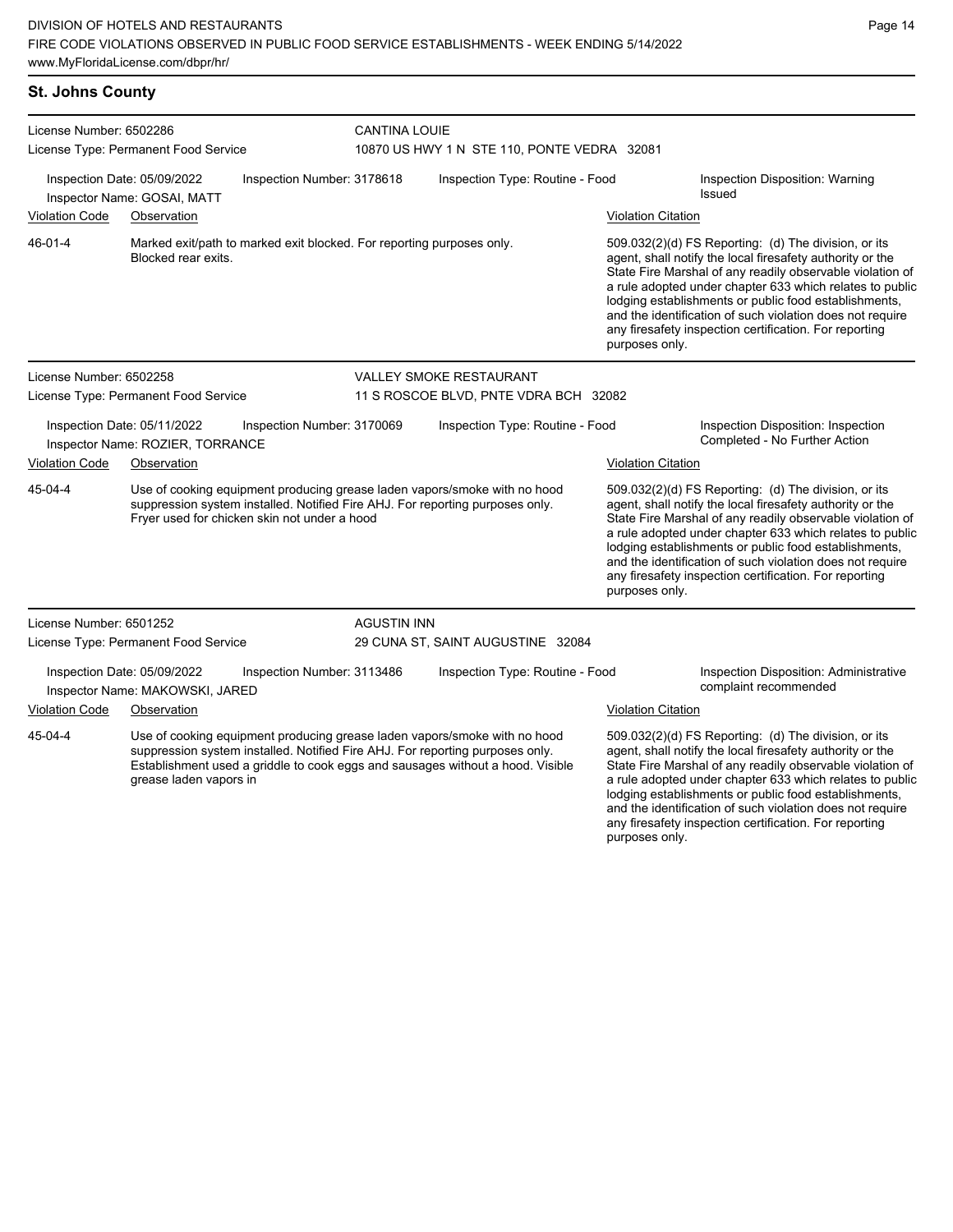#### **St. Johns County**

| License Number: 6502286<br>License Type: Permanent Food Service<br>Inspection Date: 05/09/2022<br>Inspection Number: 3178618                                                                    |                                                                |                                                                                | <b>CANTINA LOUIE</b><br>10870 US HWY 1 N STE 110, PONTE VEDRA 32081                                                                                        |                                                                                                                                                                                                                                                                                                                                                                  |                                                                                                                                                                                                                                                                                                                                                                                                                                              |                                                                 |  |
|-------------------------------------------------------------------------------------------------------------------------------------------------------------------------------------------------|----------------------------------------------------------------|--------------------------------------------------------------------------------|------------------------------------------------------------------------------------------------------------------------------------------------------------|------------------------------------------------------------------------------------------------------------------------------------------------------------------------------------------------------------------------------------------------------------------------------------------------------------------------------------------------------------------|----------------------------------------------------------------------------------------------------------------------------------------------------------------------------------------------------------------------------------------------------------------------------------------------------------------------------------------------------------------------------------------------------------------------------------------------|-----------------------------------------------------------------|--|
|                                                                                                                                                                                                 |                                                                |                                                                                | Inspection Type: Routine - Food                                                                                                                            |                                                                                                                                                                                                                                                                                                                                                                  |                                                                                                                                                                                                                                                                                                                                                                                                                                              | Inspection Disposition: Warning<br>Issued                       |  |
| <b>Violation Code</b>                                                                                                                                                                           | Inspector Name: GOSAI, MATT<br>Observation                     |                                                                                |                                                                                                                                                            |                                                                                                                                                                                                                                                                                                                                                                  |                                                                                                                                                                                                                                                                                                                                                                                                                                              |                                                                 |  |
|                                                                                                                                                                                                 |                                                                |                                                                                |                                                                                                                                                            |                                                                                                                                                                                                                                                                                                                                                                  | <b>Violation Citation</b>                                                                                                                                                                                                                                                                                                                                                                                                                    |                                                                 |  |
| 46-01-4                                                                                                                                                                                         | Blocked rear exits.                                            |                                                                                | Marked exit/path to marked exit blocked. For reporting purposes only.                                                                                      |                                                                                                                                                                                                                                                                                                                                                                  | 509.032(2)(d) FS Reporting: (d) The division, or its<br>agent, shall notify the local firesafety authority or the<br>State Fire Marshal of any readily observable violation of<br>a rule adopted under chapter 633 which relates to public<br>lodging establishments or public food establishments,<br>and the identification of such violation does not require<br>any firesafety inspection certification. For reporting<br>purposes only. |                                                                 |  |
| License Number: 6502258                                                                                                                                                                         |                                                                |                                                                                |                                                                                                                                                            | <b>VALLEY SMOKE RESTAURANT</b>                                                                                                                                                                                                                                                                                                                                   |                                                                                                                                                                                                                                                                                                                                                                                                                                              |                                                                 |  |
|                                                                                                                                                                                                 | License Type: Permanent Food Service                           |                                                                                |                                                                                                                                                            | 11 S ROSCOE BLVD, PNTE VDRA BCH 32082                                                                                                                                                                                                                                                                                                                            |                                                                                                                                                                                                                                                                                                                                                                                                                                              |                                                                 |  |
| Inspection Date: 05/11/2022<br>Inspection Number: 3170069<br>Inspector Name: ROZIER, TORRANCE                                                                                                   |                                                                |                                                                                | Inspection Type: Routine - Food                                                                                                                            |                                                                                                                                                                                                                                                                                                                                                                  | Inspection Disposition: Inspection<br>Completed - No Further Action                                                                                                                                                                                                                                                                                                                                                                          |                                                                 |  |
| <b>Violation Code</b>                                                                                                                                                                           | Observation                                                    |                                                                                |                                                                                                                                                            |                                                                                                                                                                                                                                                                                                                                                                  | <b>Violation Citation</b>                                                                                                                                                                                                                                                                                                                                                                                                                    |                                                                 |  |
| 45-04-4                                                                                                                                                                                         |                                                                | Fryer used for chicken skin not under a hood                                   | Use of cooking equipment producing grease laden vapors/smoke with no hood<br>suppression system installed. Notified Fire AHJ. For reporting purposes only. |                                                                                                                                                                                                                                                                                                                                                                  | 509.032(2)(d) FS Reporting: (d) The division, or its<br>agent, shall notify the local firesafety authority or the<br>State Fire Marshal of any readily observable violation of<br>a rule adopted under chapter 633 which relates to public<br>lodging establishments or public food establishments,<br>and the identification of such violation does not require<br>any firesafety inspection certification. For reporting<br>purposes only. |                                                                 |  |
| License Number: 6501252                                                                                                                                                                         |                                                                |                                                                                | <b>AGUSTIN INN</b>                                                                                                                                         |                                                                                                                                                                                                                                                                                                                                                                  |                                                                                                                                                                                                                                                                                                                                                                                                                                              |                                                                 |  |
| License Type: Permanent Food Service                                                                                                                                                            |                                                                |                                                                                |                                                                                                                                                            | 29 CUNA ST, SAINT AUGUSTINE 32084                                                                                                                                                                                                                                                                                                                                |                                                                                                                                                                                                                                                                                                                                                                                                                                              |                                                                 |  |
|                                                                                                                                                                                                 | Inspection Date: 05/09/2022<br>Inspector Name: MAKOWSKI, JARED | Inspection Number: 3113486                                                     |                                                                                                                                                            | Inspection Type: Routine - Food                                                                                                                                                                                                                                                                                                                                  |                                                                                                                                                                                                                                                                                                                                                                                                                                              | Inspection Disposition: Administrative<br>complaint recommended |  |
| <b>Violation Code</b>                                                                                                                                                                           | Observation                                                    |                                                                                |                                                                                                                                                            |                                                                                                                                                                                                                                                                                                                                                                  | <b>Violation Citation</b>                                                                                                                                                                                                                                                                                                                                                                                                                    |                                                                 |  |
| 45-04-4<br>Use of cooking equipment producing grease laden vapors/smoke with no hood<br>suppression system installed. Notified Fire AHJ. For reporting purposes only.<br>grease laden vapors in |                                                                | Establishment used a griddle to cook eggs and sausages without a hood. Visible |                                                                                                                                                            | 509.032(2)(d) FS Reporting: (d) The division, or its<br>agent, shall notify the local firesafety authority or the<br>State Fire Marshal of any readily observable violation of<br>a rule adopted under chapter 633 which relates to public<br>lodging establishments or public food establishments,<br>and the identification of such violation does not require |                                                                                                                                                                                                                                                                                                                                                                                                                                              |                                                                 |  |

any firesafety inspection certification. For reporting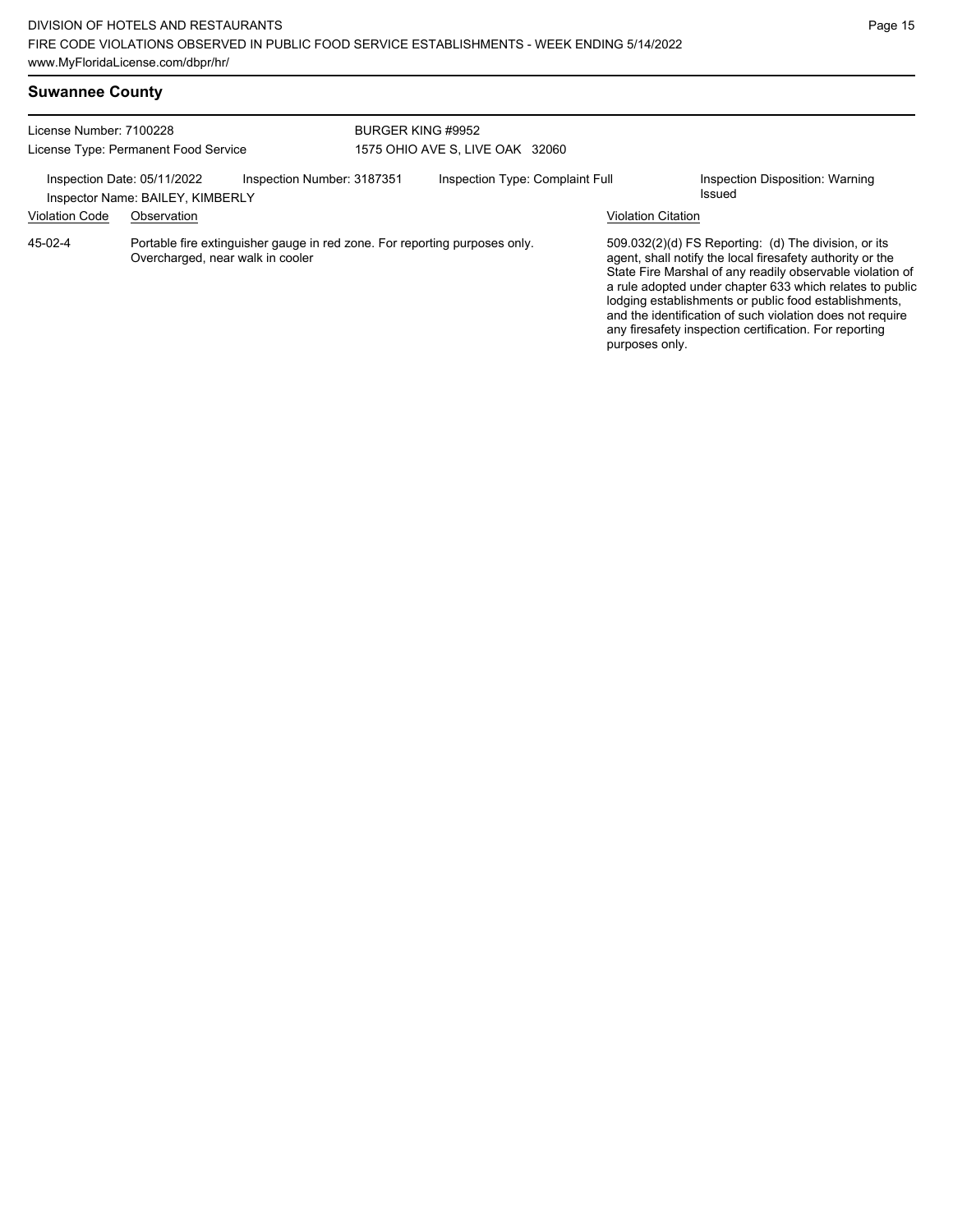| License Number: 7100228<br>License Type: Permanent Food Service |                                                 |                                                                            | BURGER KING #9952<br>1575 OHIO AVE S, LIVE OAK 32060 |                                 |  |                           |                                                                                                                                                                                                                                                                                                                                                                                                                              |
|-----------------------------------------------------------------|-------------------------------------------------|----------------------------------------------------------------------------|------------------------------------------------------|---------------------------------|--|---------------------------|------------------------------------------------------------------------------------------------------------------------------------------------------------------------------------------------------------------------------------------------------------------------------------------------------------------------------------------------------------------------------------------------------------------------------|
| Inspection Date: 05/11/2022<br><b>Violation Code</b>            | Inspector Name: BAILEY, KIMBERLY<br>Observation | Inspection Number: 3187351                                                 |                                                      | Inspection Type: Complaint Full |  | <b>Violation Citation</b> | Inspection Disposition: Warning<br>Issued                                                                                                                                                                                                                                                                                                                                                                                    |
| 45-02-4                                                         | Overcharged, near walk in cooler                | Portable fire extinguisher gauge in red zone. For reporting purposes only. |                                                      |                                 |  | purposes only.            | $509.032(2)(d)$ FS Reporting: (d) The division, or its<br>agent, shall notify the local firesafety authority or the<br>State Fire Marshal of any readily observable violation of<br>a rule adopted under chapter 633 which relates to public<br>lodging establishments or public food establishments,<br>and the identification of such violation does not require<br>any firesafety inspection certification. For reporting |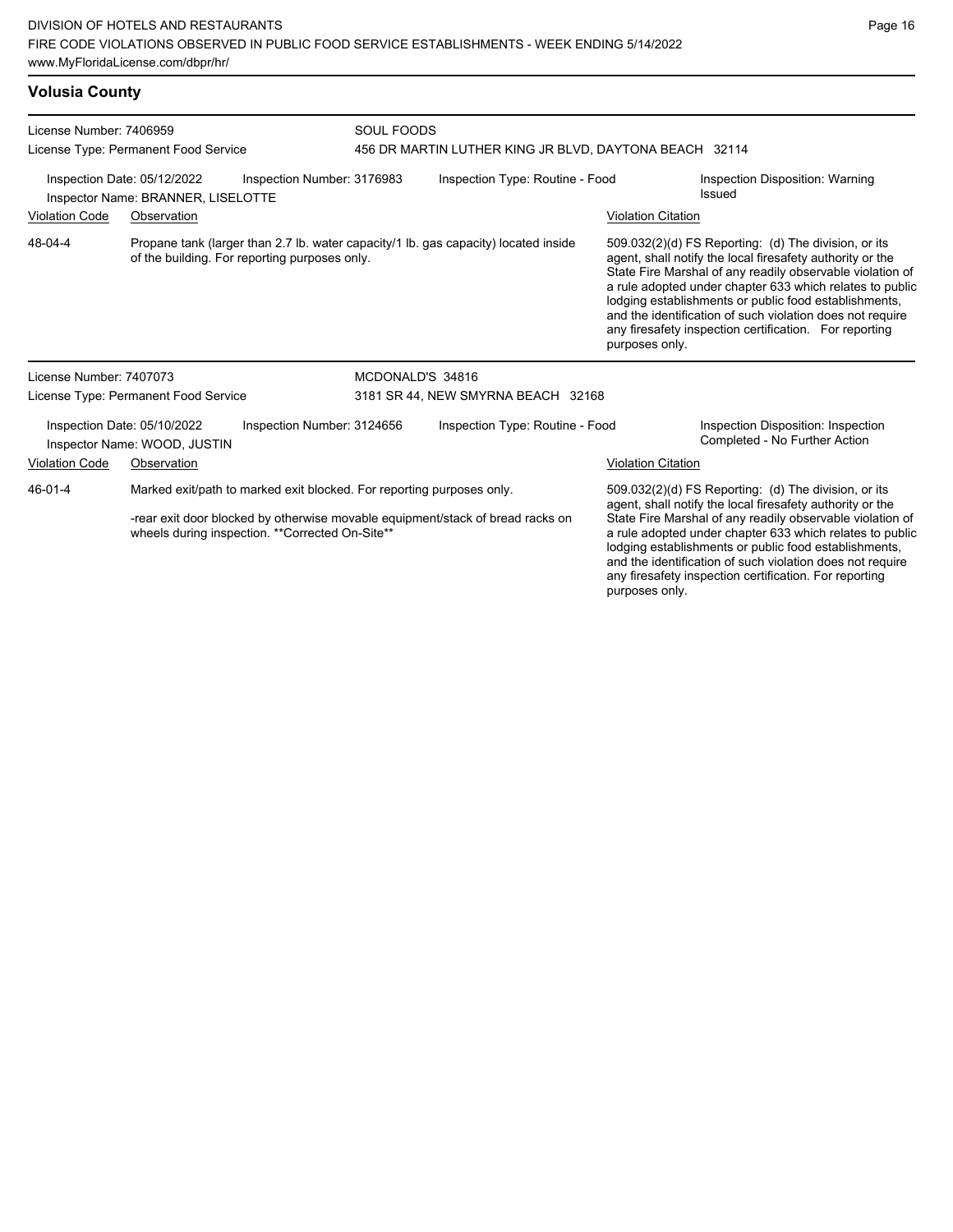### **Volusia County**

| License Number: 7406959<br>License Type: Permanent Food Service                                                                      |                                                                                                                                      |                            | <b>SOUL FOODS</b><br>456 DR MARTIN LUTHER KING JR BLVD, DAYTONA BEACH 32114    |                                 |                                                                                                                                                                                                                                                                                                                                                                                                                                              |                                                                     |  |
|--------------------------------------------------------------------------------------------------------------------------------------|--------------------------------------------------------------------------------------------------------------------------------------|----------------------------|--------------------------------------------------------------------------------|---------------------------------|----------------------------------------------------------------------------------------------------------------------------------------------------------------------------------------------------------------------------------------------------------------------------------------------------------------------------------------------------------------------------------------------------------------------------------------------|---------------------------------------------------------------------|--|
| Inspection Date: 05/12/2022<br>Inspection Number: 3176983<br>Inspector Name: BRANNER, LISELOTTE                                      |                                                                                                                                      |                            |                                                                                | Inspection Type: Routine - Food |                                                                                                                                                                                                                                                                                                                                                                                                                                              | Inspection Disposition: Warning<br><b>Issued</b>                    |  |
| <b>Violation Code</b>                                                                                                                | Observation                                                                                                                          |                            |                                                                                | <b>Violation Citation</b>       |                                                                                                                                                                                                                                                                                                                                                                                                                                              |                                                                     |  |
| 48-04-4                                                                                                                              | Propane tank (larger than 2.7 lb. water capacity/1 lb. gas capacity) located inside<br>of the building. For reporting purposes only. |                            |                                                                                |                                 | 509.032(2)(d) FS Reporting: (d) The division, or its<br>agent, shall notify the local firesafety authority or the<br>State Fire Marshal of any readily observable violation of<br>a rule adopted under chapter 633 which relates to public<br>lodging establishments or public food establishments,<br>and the identification of such violation does not require<br>any firesafety inspection certification. For reporting<br>purposes only. |                                                                     |  |
| License Number: 7407073                                                                                                              |                                                                                                                                      |                            | MCDONALD'S 34816                                                               |                                 |                                                                                                                                                                                                                                                                                                                                                                                                                                              |                                                                     |  |
| License Type: Permanent Food Service                                                                                                 |                                                                                                                                      |                            | 3181 SR 44, NEW SMYRNA BEACH 32168                                             |                                 |                                                                                                                                                                                                                                                                                                                                                                                                                                              |                                                                     |  |
|                                                                                                                                      | Inspection Date: 05/10/2022<br>Inspector Name: WOOD, JUSTIN                                                                          | Inspection Number: 3124656 |                                                                                | Inspection Type: Routine - Food |                                                                                                                                                                                                                                                                                                                                                                                                                                              | Inspection Disposition: Inspection<br>Completed - No Further Action |  |
| <b>Violation Code</b>                                                                                                                | Observation                                                                                                                          |                            |                                                                                |                                 | <b>Violation Citation</b>                                                                                                                                                                                                                                                                                                                                                                                                                    |                                                                     |  |
| Marked exit/path to marked exit blocked. For reporting purposes only.<br>46-01-4<br>wheels during inspection. ** Corrected On-Site** |                                                                                                                                      |                            | -rear exit door blocked by otherwise movable equipment/stack of bread racks on |                                 | 509.032(2)(d) FS Reporting: (d) The division, or its<br>agent, shall notify the local firesafety authority or the<br>State Fire Marshal of any readily observable violation of<br>a rule adopted under chapter 633 which relates to public<br>lodging establishments or public food establishments,<br>and the identification of such violation does not require<br>any firesafety inspection certification. For reporting                   |                                                                     |  |